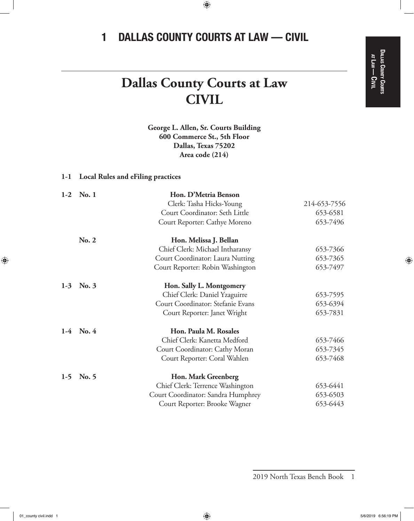$\bigoplus$ 

# 1 DALLAS COUNTY COURTS AT LAW — CIVIL

 $\bigoplus$ 

# **Dallas County Courts at Law CIVIL**

**George L. Allen, Sr. Courts Building 600 Commerce St., 5th Floor Dallas, Texas 75202 Area code (214)**

## **1-1 Local Rules and eFiling practices**

| $1-2$ | No.1        | Hon. D'Metria Benson               |              |
|-------|-------------|------------------------------------|--------------|
|       |             | Clerk: Tasha Hicks-Young           | 214-653-7556 |
|       |             | Court Coordinator: Seth Little     | 653-6581     |
|       |             | Court Reporter: Cathye Moreno      | 653-7496     |
|       | No. 2       | Hon. Melissa J. Bellan             |              |
|       |             | Chief Clerk: Michael Intharansy    | 653-7366     |
|       |             | Court Coordinator: Laura Nutting   | 653-7365     |
|       |             | Court Reporter: Robin Washington   | 653-7497     |
| $1-3$ | No. 3       | Hon. Sally L. Montgomery           |              |
|       |             | Chief Clerk: Daniel Yzaguirre      | 653-7595     |
|       |             | Court Coordinator: Stefanie Evans  | 653-6394     |
|       |             | Court Reporter: Janet Wright       | 653-7831     |
|       | $1-4$ No. 4 | Hon. Paula M. Rosales              |              |
|       |             | Chief Clerk: Kanetta Medford       | 653-7466     |
|       |             | Court Coordinator: Cathy Moran     | 653-7345     |
|       |             | Court Reporter: Coral Wahlen       | 653-7468     |
| $1-5$ | No. 5       | Hon. Mark Greenberg                |              |
|       |             | Chief Clerk: Terrence Washington   | 653-6441     |
|       |             | Court Coordinator: Sandra Humphrey | 653-6503     |
|       |             | Court Reporter: Brooke Wagner      | 653-6443     |

2019 North Texas Bench Book 1

 $\bigoplus$ 

at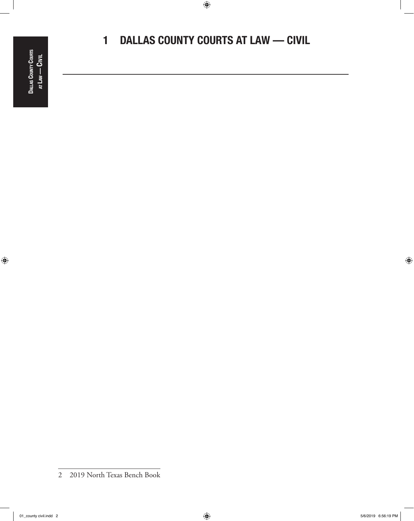$\bigoplus$ 

# 1 DALLAS COUNTY COURTS AT LAW — CIVIL

 $\bigoplus$ 

 $\bigoplus$ 

<sup>2</sup> 2019 North Texas Bench Book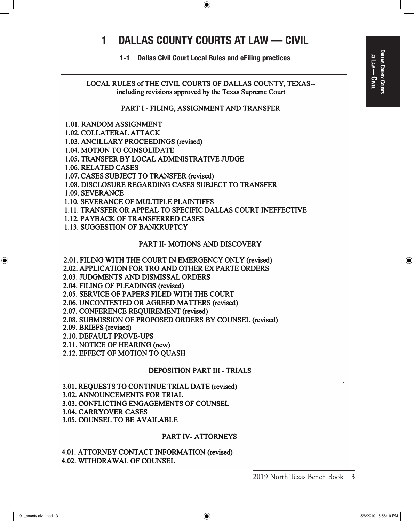⊕

1-1 Dallas Civil Court Local Rules and eFiling practices

LOCAL RULES of THE CIVIL COURTS OF DALLAS COUNTY, TEXAS including revisions approved by the Texas Supreme Court

#### PART I - FILING, ASSIGNMENT AND TRANSFER

- 1.01. RANDOM ASSIGNMENT
- 1.02. COLLATERAL ATTACK
- 1.03. ANCILLARY PROCEEDINGS (revised)
- 1.04. MOTION TO CONSOLIDATE
- 1.05. TRANSFER BY LOCAL ADMINISTRATIVE JUDGE
- 1.06. RELATED CASES
- 1.07. CASES SUBJECT TO TRANSFER (revised)
- 1.08. DISCLOSURE REGARDING CASES SUBJECT TO TRANSFER
- 1.09. SEVERANCE
- 1.10. SEVERANCE OF MULTIPLE PLAINTIFFS
- 1.11. TRANSFER OR APPEAL TO SPECIFIC DALLAS COURT INEFFECTIVE
- 1.12. PAYBACK OF TRANSFERRED CASES
- 1.13. SUGGESTION OF BANKRUPTCY

## PART II- MOTIONS AND DISCOVERY

- 2.01. FILING WITH THE COURT IN EMERGENCY ONLY (revised)
- 2.02. APPLICATION FOR TRO AND OTHER EX PARTE ORDERS
- 2.03. JUDGMENTS AND DISMISSAL ORDERS
- 2.04. FILING OF PLEADINGS (revised)
- 2.05. SERVICE OF PAPERS FILED WITH THE COURT
- 2.06. UNCONTESTED OR AGREED MA TIERS (revised)
- 2.07. CONFERENCE REQUIREMENT (revised)
- 2.08. SUBMISSION OF PROPOSED ORDERS BY COUNSEL (revised)
- 2.09. BRIEFS (revised)
- 2.1 0. DEFAULT PROVE-UPS
- 2.11. NOTICE OF HEARING (new)
- 2.12. EFFECT OF MOTION TO QUASH

#### DEPOSITION PART III - TRIALS

3.01. REQUESTS TO CONTINUE TRIAL DATE (revised)

- 3.02. ANNOUNCEMENTS FOR TRIAL
- 3.03. CONFLICTING ENGAGEMENTS OF COUNSEL
- 3.04. CARRYOVER CASES
- 3.05. COUNSEL TO BE AVAILABLE

#### PART IV- ATTORNEYS

4.01. ATTORNEY CONTACT INFORMATION (revised) 4.02. WITHDRAWAL OF COUNSEL

⊕

<sup>2019</sup> North Texas Bench Book 3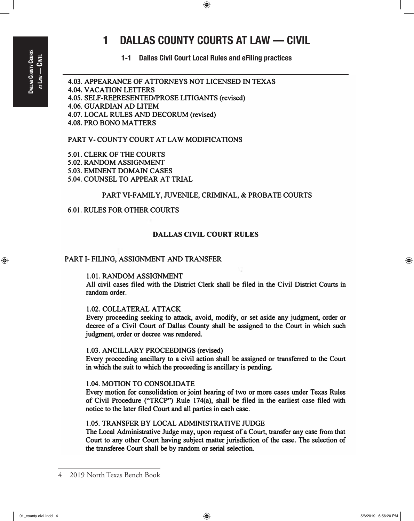⊕

# 1 DALLAS COUNTY COURTS AT LAW — CIVIL

 $\bigoplus$ 

1-1 Dallas Civil Court Local Rules and eFiling practices

4.03. APPEARANCE OF A TIORNEYS NOT LICENSED IN TEXAS 4.04. VACATION LEITERS 4.05. SELF-REPRESENTED/PROSE LITIGANTS (revised) 4.06. GUARDIAN AD LITEM 4.07. LOCAL RULES AND DECORUM (revised) 4.08. PRO BONO MATTERS

## PART V- COUNTY COURT AT LAW MODIFICATIONS

5.01. CLERK OF THE COURTS 5.02. RANDOM ASSIGNMENT 5.03. EMINENT DOMAIN CASES 5.04. COUNSEL TO APPEAR AT TRIAL

## PART VI-FAMILY, JUVENILE, CRIMINAL, & PROBATE COURTS

## 6.01. RULES FOR OTHER COURTS

## DALLAS CIVIL COURT RULES

#### PART I- FILING, ASSIGNMENT AND TRANSFER

## 1.01. RANDOM ASSIGNMENT

All civil cases filed with the District Clerk shall be filed in the Civil District Courts in random order.

#### 1.02. COLLATERAL ATIACK

Every proceeding seeking to attack, avoid, modify, or set aside any judgment, order or decree of a Civil Court of Dallas County shall be assigned to the Court in which such judgment, order or decree was rendered.

#### 1.03. ANCILLARY PROCEEDINGS (revised)

Every proceeding ancillary to a civil action shall be assigned or transferred to the Court in which the suit to which the proceeding is ancillary is pending.

#### 1.04. MOTION TO CONSOLIDATE

Every motion for consolidation or joint hearing of two or more cases under Texas Rules of Civil Procedure ("TRCP") Rule 174(a), shall be filed in the earliest case filed with notice to the later filed Court and all parties in each case.

## 1.05. TRANSFER BY LOCAL ADMINISTRATIVE JUDGE

The Local Administrative Judge may, upon request of a Court, transfer any case from that Court to any other Court having subject matter jurisdiction of the case. The selection of the transferee Court shall be by random or serial selection.

<sup>4</sup> 2019 North Texas Bench Book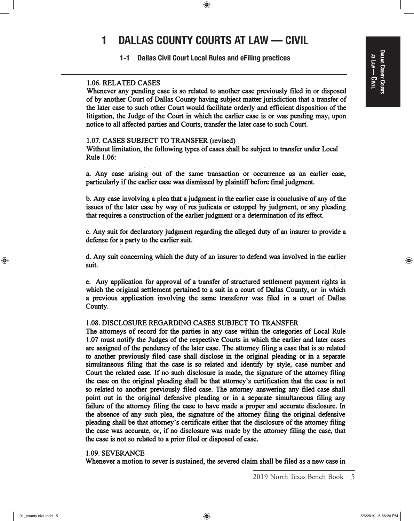## DALAS COUNTY COURTS Dallas County Courts at Law<br>| <u>ດ</u><br>ອ

⊕

# 1 DALLAS COUNTY COURTS AT LAW — CIVIL

 $\bigoplus$ 

1-1 Dallas Civil Court Local Rules and eFiling practices

## 1.06. RELATED CASES

Whenever any pending case is so related to another case previously filed in or disposed of by another Court of Dallas County having subject matter jurisdiction that a transfer of the later case to such other Court would facilitate orderly and efficient disposition of the litigation, the Judge of the Court in which the earlier case is or was pending may, upon notice to all affected parties and Courts, transfer the later case to such Court.

### 1.07. CASES SUBJECT TO TRANSFER (revised)

Without limitation, the following types of cases shall be subject to transfer under Local Rule 1.06:

a. Any case arising out of the same transaction or occurrence as an earlier case, particularly if the earlier case was dismissed by plaintiff before fmal judgment.

b. Any case involving a plea that a judgment in the earlier case is conclusive of any of the issues of the later case by way of res judicata or estoppel by judgment, or any pleading that requires a construction of the earlier judgment or a determination of its effect.

c. Any suit for declaratory judgment regarding the alleged duty of an insurer to provide a defense for a party to the earlier suit.

d. Any suit concerning which the duty of an insurer to defend was involved in the earlier suit.

e. Any application for approval of a transfer of structured settlement payment rights in which the original settlement pertained to a suit in a court of Dallas County, or in which a previous application involving the same transferor was filed in a court of Dallas County.

## 1.08. DISCLOSURE REGARDING CASES SUBJECT TO TRANSFER

The attorneys of record for the parties in any case within the categories of Local Rule 1.07 must notify the Judges of the respective Courts in which the earlier and later cases are assigned of the pendency of the later case. The attorney filing a case that is so related to another previously filed case shall disclose in the original pleading or in a separate simultaneous filing that the case is so related and identify by style, case number and Court the related case. If no such disclosure is made, the signature of the attorney filing the case on the original pleading shall be that attorney's certification that the case is not so related to another previously filed case. The attorney answering any filed case shall point out in the original defensive pleading or in a separate simultaneous filing any failure of the attorney filing the case to have made a proper and accurate disclosure. In the absence of any such plea, the signature of the attorney filing the original defensive pleading shall be that attorney's certificate either that the disclosure of the attorney filing the case was accurate, or, if no disclosure was made by the attorney filing the case, that the case is not so related to a prior filed or disposed of case.

#### 1.09. SEVERANCE

Whenever a motion to sever is sustained, the severed claim shall be filed as a new case in

 $\textcircled{\scriptsize{+}}$ 

01\_county civil.indd 5 5/6/2019 6:56:20 PM  $\langle\clubsuit\rangle$ 

<sup>2019</sup> North Texas Bench Book 5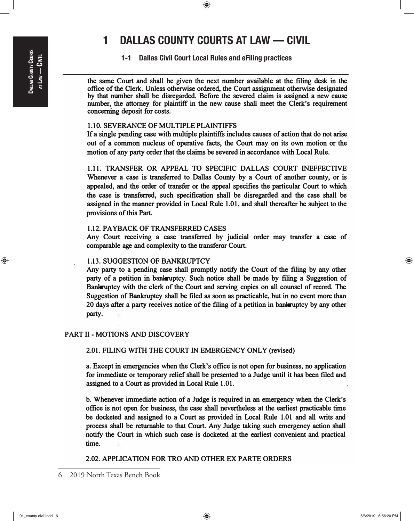1-1 Dallas Civil Court Local Rules and eFiling practices

the same Court and shall be given the next number available at the filing desk in the office of the Clerk. Unless otherwise ordered, the Court assignment otherwise designated by that number shall be disregarded. Before the severed claim is assigned a new cause number, the attorney for plaintiff in the new cause shall meet the Clerk's requirement concerning deposit for costs.

## 1.1 0. SEVERANCE OF MULTIPLE PLAINTIFFS

If a single pending case with multiple plaintiffs includes causes of action that do not arise out of a common nucleus of operative facts, the Court may on its own motion or the motion of any party order that the claims be severed in accordance with Local Rule.

1.11. TRANSFER OR APPEAL TO SPECIFIC DALLAS COURT INEFFECTIVE Whenever a case is transferred to Dallas County by a Court of another county, or is appealed, and the order of transfer or the appeal specifies the particular Court to which the case is transferred, such specification shall be disregarded and the case shall be assigned in the manner provided in Local Rule 1.01, and shall thereafter be subject to the provisions of this Part.

## 1.12. PAYBACK OF TRANSFERRED CASES

Any Court receiving a case transferred by judicial order may transfer a case of comparable age and complexity to the transferor Court.

#### 1.13. SUGGESTION OF BANKRUPTCY

Any party to a pending case shall promptly notify the Court of the filing by any other party of a petition in bankruptcy. Such notice shall be made by filing a Suggestion of Bankruptcy with the clerk of the Court and serving copies on all counsel of record. The Suggestion of Bankruptcy shall be filed as soon as practicable, but in no event more than 20 days after a party receives notice of the filing of a petition in bankruptcy by any other party.

## PART II - MOTIONS AND DISCOVERY

2.01. FILING WITH THE COURT IN EMERGENCY ONLY (revised)

a. Except in emergencies when the Clerk's office is not open for business, no application for immediate or temporary relief shall be presented to a Judge until it has been filed and assigned to a Court as provided in Local Rule 1.01.

b. Whenever immediate action of a Judge is required in an emergency when the Clerk's office is not open for business, the case shall nevertheless at the earliest practicable time be docketed and assigned to a Court as provided in Local Rule 1.01 and all writs and process shall be returnable to that Court. Any Judge taking such emergency action shall notify the Court in which such case is docketed at the earliest convenient and practical time.

## 2.02. APPLICATION FOR TRO AND OTHER EX PARTE ORDERS

⊕

⊕

 $\bigoplus$ 

<sup>6</sup> 2019 North Texas Bench Book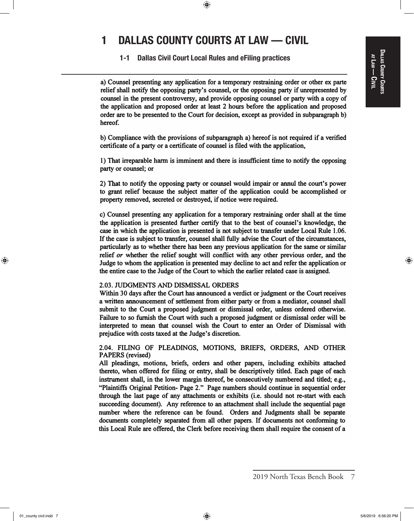## DALAS COUNTY COURTS Dallas County Courts at Law<br>| <u>ດ</u><br>ອ

⊕

# 1 DALLAS COUNTY COURTS AT LAW — CIVIL

 $\bigoplus$ 

1-1 Dallas Civil Court Local Rules and eFiling practices

a) Counsel presenting any application for a temporary restraining order or other ex parte relief shall notify the opposing party's counsel, or the opposing party if unrepresented by counsel in the present controversy, and provide opposing counsel or party with a copy of the application and proposed order at least 2 hours before the application and proposed order are to be presented to the Court for decision, except as provided in subparagraph b) hereof.

b) Compliance with the provisions of subparagraph a) hereof is not required if a verified certificate of a party or a certificate of counsel is filed with the application,

1) That irreparable harm is imminent and there is insufficient time to notify the opposing party or counsel; or

2) That to notify the opposing party or counsel would impair or annul the court's power to grant relief because the subject matter of the application could be accomplished or property removed, secreted or destroyed, if notice were required.

c) Counsel presenting any application for a temporary restraining order shall at the time the application is presented further certify that to the best of counsel's knowledge, the case in which the application is presented is not subject to transfer under Local Rule 1.06. If the case is subject to transfer, counsel shall fully advise the Court of the circumstances, particularly as to whether there has been any previous application for the same or similar relief or whether the relief sought will conflict with any other previous order, and the Judge to whom the application is presented may decline to act and refer the application or the entire case to the Judge of the Court to which the earlier related case is assigned.

#### 2.03. JUDGMENTS AND DISMISSAL ORDERS

Within 30 days after the Court has announced a verdict or judgment or the Court receives a written announcement of settlement from either party or from a mediator, counsel shall submit to the Court a proposed judgment or dismissal order, unless ordered otherwise. Failure to so furnish the Court with such a proposed judgment or dismissal order will be interpreted to mean that counsel wish the Court to enter an Order of Dismissal with prejudice with costs taxed at the Judge's discretion.

2.04. FILING OF PLEADINGS, MOTIONS, BRIEFS, ORDERS, AND OTHER PAPERS (revised)

All pleadings, motions, briefs, orders and other papers, including exhibits attached thereto, when offered for filing or entry, shall be descriptively titled. Each page of each instrument shall, in the lower margin thereof, be consecutively numbered and titled; e.g., "Plaintiffs Original Petition- Page 2." Page numbers should continue in sequential order through the last page of any attachments or exhibits (i.e. should not re-start with each succeeding document). Any reference to an attachment shall include the sequential page number where the reference can be found. Orders and Judgments shall be separate documents completely separated from all other papers. If documents not conforming to this Local Rule are offered, the Clerk before receiving them shall require the consent of a

<sup>2019</sup> North Texas Bench Book 7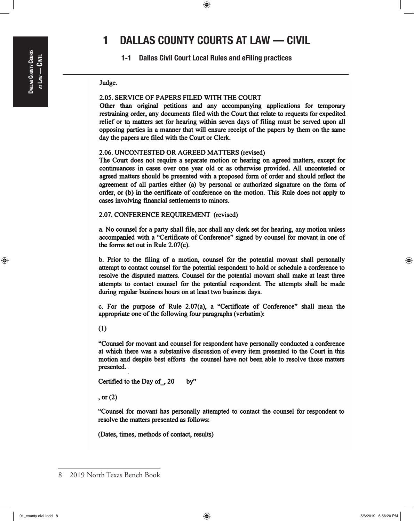$\textcircled{\scriptsize{+}}$ 

# 1 DALLAS COUNTY COURTS AT LAW — CIVIL

 $\textcolor{black}{\textcircled{\tiny \#}}$ 

1-1 Dallas Civil Court Local Rules and eFiling practices

#### Judge.

### 2.05. SERVICE OF PAPERS FILED WITH THE COURT

Other than original petitions and any accompanying applications for temporary restraining order, any documents filed with the Court that relate to requests for expedited relief or to matters set for hearing within seven days of filing must be served upon all opposing parties in a manner that will ensure receipt of the papers by them on the same day the papers are filed with the Court or Clerk.

#### 2.06. UNCONTESTED OR AGREED MATTERS (revised)

The Court does not require a separate motion or hearing on agreed matters, except for continuances in cases over one year old or as otherwise provided. All uncontested or agreed matters should be presented with a proposed form of order and should reflect the agreement of all parties either (a) by personal or authorized signature on the form of order, or (b) in the certificate of conference on the motion. This Rule does not apply to cases involving financial settlements to minors.

#### 2.07. CONFERENCE REQUIREMENT (revised)

a. No counsel for a party shall file, nor shall any clerk set for hearing, any motion unless accompanied with a "Certificate of Conference" signed by counsel for movant in one of the forms set out in Rule 2.07(c).

b. Prior to the filing of a motion, counsel for the potential movant shall personally attempt to contact counsel for the potential respondent to hold or schedule a conference to resolve the disputed matters. Counsel for the potential movant shall make at least three attempts to contact counsel for the potential respondent. The attempts shall be made during regular business hours on at least two business days.

c. For the purpose of Rule 2.07(a), a "Certificate of Conference" shall mean the appropriate one of the following four paragraphs (verbatim):

(1)

"Counsel for movant and counsel for respondent have personally conducted a conference at which there was a substantive discussion of every item presented to the Court in this motion and despite best efforts the counsel have not been able to resolve those matters presented.

Certified to the Day of 30 by"

, or (2)

"Counsel for movant has personally attempted to contact the counsel for respondent to resolve the matters presented as follows:

(Dates, times, methods of contact, results)

<sup>8</sup> 2019 North Texas Bench Book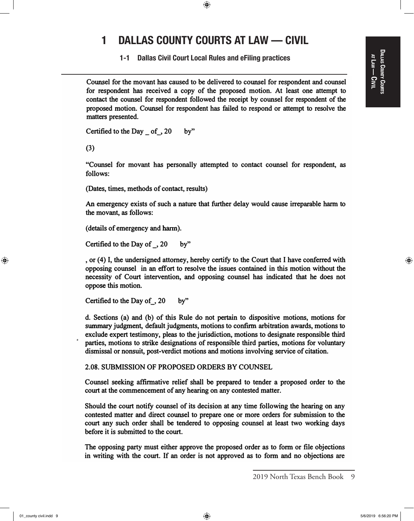$\bigoplus$ 

⊕

at

1-1 Dallas Civil Court Local Rules and eFiling practices

Counsel for the movant has caused to be delivered to counsel for respondent and counsel for respondent has received a copy of the proposed motion. At least one attempt to contact the counsel for respondent followed the receipt by counsel for respondent of the proposed motion. Counsel for respondent has failed to respond or attempt to resolve the matters presented.

Certified to the Day  $_0$  of  $_$ , 20 by"

(3)

"Counsel for movant has personally attempted to contact counsel for respondent, as follows:

(Dates, times, methods of contact, results)

An emergency exists of such a nature that further delay would cause irreparable harm to the movant, as follows:

(details of emergency and harm).

Certified to the Day of  $\Box$ , 20 by"

, or (4) I, the undersigned attorney, hereby certify to the Court that I have conferred with opposing counsel in an effort to resolve the issues contained in this motion without the necessity of Court intervention, and opposing counsel has indicated that he does not oppose this motion.

Certified to the Day of 30 by"

d. Sections (a) and (b) of this Rule do not pertain to dispositive motions, motions for summary judgment, default judgments, motions to confirm arbitration awards, motions to exclude expert testimony, pleas to the jurisdiction, motions to designate responsible third • parties, motions to strike designations of responsible third parties, motions for voluntary dismissal or nonsuit, post-verdict motions and motions involving service of citation.

2.08. SUBMISSION OF PROPOSED ORDERS BY COUNSEL

Counsel seeking affirmative relief shall be prepared to tender a proposed order to the court at the commencement of any hearing on any contested matter.

Should the court notify counsel of its decision at any time following the hearing on any contested matter and direct counsel to prepare one or more orders for submission to the court any such order shall be tendered to opposing counsel at least two working days before it is submitted to the court.

The opposing party must either approve the proposed order as to form or file objections in writing with the court. If an order is not approved as to form and no objections are

 $\textcircled{\scriptsize{+}}$ 

<sup>2019</sup> North Texas Bench Book 9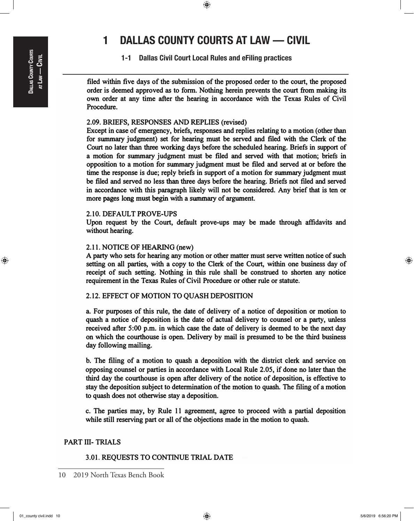# DALLAS COUNTY COURTS Dallas County Courts Civil  $A$ TLAW —

⊕

# 1 DALLAS COUNTY COURTS AT LAW — CIVIL

 $\bigoplus$ 

1-1 Dallas Civil Court Local Rules and eFiling practices

filed within five days of the submission of the proposed order to the court, the proposed order is deemed approved as to form. Nothing herein prevents the court from making its own order at any time after the hearing in accordance with the Texas Rules of Civil Procedure.

## 2.09. BRIEFS, RESPONSES AND REPLIES (revised)

Except in case of emergency, briefs, responses and replies relating to a motion (other than for summary judgment) set for hearing must be served and filed with the Clerk of the Court no later than three working days before the scheduled hearing. Briefs in support of a motion for summary judgment must be filed and served with that motion; briefs in opposition to a motion for summary judgment must be filed and served at or before the time the response is due; reply briefs in support of a motion for summary judgment must be filed and served no less than three days before the hearing. Briefs not filed and served in accordance with this paragraph likely will not be considered. Any brief that is ten or more pages long must begin with a summary of argument.

### 2.10. DEFAULT PROVE-UPS

Upon request by the Court, default prove-ups may be made through affidavits and without hearing.

## 2.11. NOTICE OF HEARING (new)

A party who sets for hearing any motion or other matter must serve written notice of such setting on all parties, with a copy to the Clerk of the Court, within one business day of receipt of such setting. Nothing in this rule shall be construed to shorten any notice requirement in the Texas Rules of Civil Procedure or other rule or statute.

## 2.12. EFFECT OF MOTION TO QUASH DEPOSITION

a. For purposes of this rule, the date of delivery of a notice of deposition or motion to quash a notice of deposition is the date of actual delivery to counsel or a party, unless received after 5:00 p.m. in which case the date of delivery is deemed to be the next day on which the courthouse is open. Delivery by mail is presumed to be the third business day following mailing.

b. The filing of a motion to quash a deposition with the district clerk and service on opposing counsel or parties in accordance with Local Rule 2.05, if done no later than the third day the courthouse is open after delivery of the notice of deposition, is effective to stay the deposition subject to determination of the motion to quash. The filing of a motion to quash does not otherwise stay a deposition.

c. The parties may, by Rule 11 agreement, agree to proceed with a partial deposition while still reserving part or all of the objections made in the motion to quash.

## PART III- TRIALS

## 3.01. REQUESTS TO CONTINUE TRIAL DATE

<sup>10</sup> 2019 North Texas Bench Book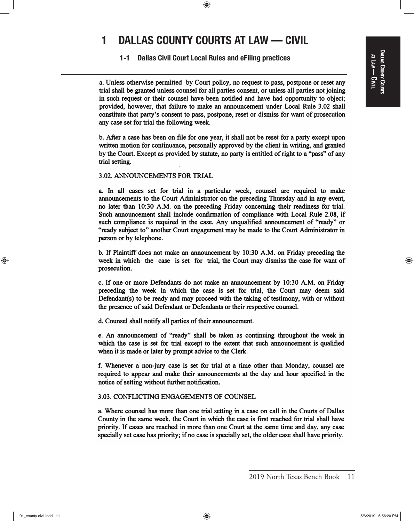$\textcolor{black}{\textcircled{\tiny \#}}$ 

## 1-1 Dallas Civil Court Local Rules and eFiling practices

a. Unless otherwise permitted by Court policy, no request to pass, postpone or reset any trial shall be granted unless counsel for all parties consent, or unless all parties not joining in such request or their counsel have been notified and have had opportunity to object; provided, however, that failure to make an announcement under Local Rule 3.02 shall constitute that party's consent to pass, postpone, reset or dismiss for want of prosecution any case set for trial the following week.

b. After a case has been on file for one year, it shall not be reset for a party except upon written motion for continuance, personally approved by the client in writing, and granted by the Court. Except as provided by statute, no party is entitled of right to a "pass" of any trial setting.

### 3.02. ANNOUNCEMENTS FOR TRIAL

a. In all cases set for trial in a particular week, counsel are required to make announcements to the Court Administrator on the preceding Thursday and in any event, no later than 10:30 A.M. on the preceding Friday concerning their readiness for trial. Such announcement shall include confirmation of compliance with Local Rule 2.08, if such compliance is required in the case. Any unqualified announcement of "ready" or "ready subject to" another Court engagement may be made to the Court Administrator in person or by telephone.

b. If Plaintiff does not make an announcement by 10:30 A.M. on Friday preceding the week in which the case is set for trial, the Court may dismiss the case for want of prosecution.

c. If one or more Defendants do not make an announcement by 10:30 A.M. on Friday preceding the week in which the case is set for trial, the Court may deem said Defendant(s) to be ready and may proceed with the taking of testimony, with or without the presence of said Defendant or Defendants or their respective counsel.

d. Counsel shall notify all parties of their announcement.

e. An announcement of "ready" shall be taken as continuing throughout the week in which the case is set for trial except to the extent that such announcement is qualified when it is made or later by prompt advice to the Clerk.

f. Whenever a non-jury case is set for trial at a time other than Monday, counsel are required to appear and make their announcements at the day and hour specified in the notice of setting without further notification.

#### 3.03. CONFLICTING ENGAGEMENTS OF COUNSEL

a. Where counsel has more than one trial setting in a case on call in the Courts of Dallas County in the same week, the Court in which the case is first reached for trial shall have priority. If cases are reached in more than one Court at the same time and day, any case specially set case has priority; if no case is specially set, the older case shall have priority.

⊕

<sup>2019</sup> North Texas Bench Book 11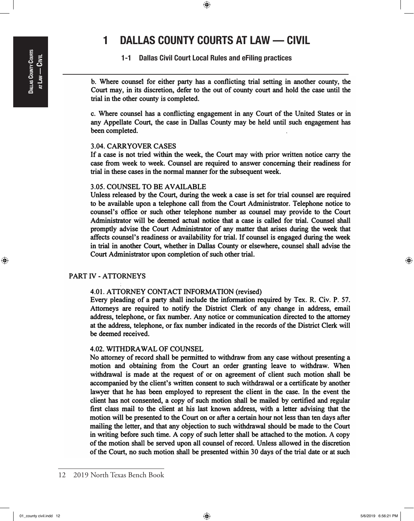$\bigoplus$ 

1-1 Dallas Civil Court Local Rules and eFiling practices

b. Where counsel for either party has a conflicting trial setting in another county, the Court may, in its discretion, defer to the out of county court and hold the case until the trial in the other county is completed.

c. Where counsel has a conflicting engagement in any Court of the United States or in any Appellate Court, the case in Dallas County may be held until such engagement has been completed.

### 3.04. CARRYOVER CASES

If a case is not tried within the week, the Court may with prior written notice carry the case from week to week. Counsel are required to answer concerning their readiness for trial in these cases in the normal manner for the subsequent week.

## 3.05. COUNSEL TO BE AVAILABLE

Unless released by the Court, during the week a case is set for trial counsel are required to be available upon a telephone call from the Court Administrator. Telephone notice to counsel's office or such other telephone number as counsel may provide to the Court Administrator will be deemed actual notice that a case is called for trial. Counsel shall promptly advise the Court Administrator of any matter that arises during the week that affects counsel's readiness or availability for trial. If counsel is engaged during the week in trial in another Court, whether in Dallas County or elsewhere, counsel shall advise the Court Administrator upon completion of such other trial.

## PART IV- ATTORNEYS

#### 4.01. ATTORNEY CONTACT INFORMATION (revised)

Every pleading of a party shall include the information required by Tex. R. Civ. P. 57. Attorneys are required to notify the District Clerk of any change in address, email address, telephone, or fax number. Any notice or communication directed to the attorney at the address, telephone, or fax number indicated in the records of the District Clerk will be deemed received.

### 4.02. WITHDRAWAL OF COUNSEL

No attorney of record shall be permitted to withdraw from any case without presenting a motion and obtaining from the Court an order granting leave to withdraw. When withdrawal is made at the request of or on agreement of client such motion shall be accompanied by the client's written consent to such withdrawal or a certificate by another lawyer that he has been employed to represent the client in the case. In the event the client has not consented, a copy of such motion shall be mailed by certified and regular first class mail to the client at his last known address, with a letter advising that the motion will be presented to the Court on or after a certain hour not less than ten days after mailing the letter, and that any objection to such withdrawal should be made to the Court in writing before such time. A copy of such letter shall be attached to the motion. A copy of the motion shall be served upon all counsel of record. Unless allowed in the discretion of the Court, no such motion shall be presented within 30 days of the trial date or at such

 $\textcircled{\scriptsize{+}}$ 

<sup>12</sup> 2019 North Texas Bench Book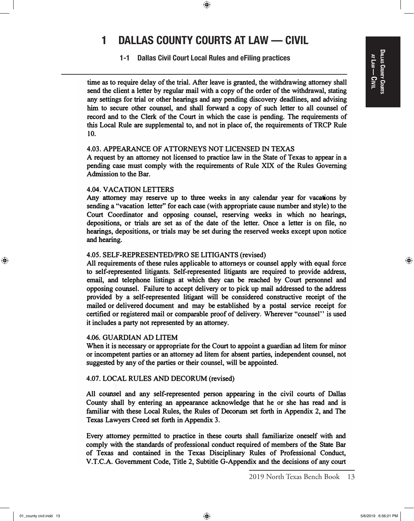## DALLAS COUNTY COURTS Dallas County Courts at Law<br>| <u>ດ</u><br>ອ

⊕

# 1 DALLAS COUNTY COURTS AT LAW — CIVIL

 $\bigoplus$ 

1-1 Dallas Civil Court Local Rules and eFiling practices

time as to require delay of the trial. After leave is granted, the withdrawing attorney shall send the client a letter by regular mail with a copy of the order of the withdrawal, stating any settings for trial or other hearings and any pending discovery deadlines, and advising him to secure other counsel, and shall forward a copy of such letter to all counsel of record and to the Clerk of the Court in which the case is pending. The requirements of this Local Rule are supplemental to, and not in place of, the requirements of TRCP Rule 10.

### 4.03. APPEARANCE OF AITORNEYS NOT LICENSED IN TEXAS

A request by an attorney not licensed to practice law in the State of Texas to appear in a pending case must comply with the requirements of Rule XIX of the Rules Governing Admission to the Bar.

### 4.04. VACATION LEITERS

Any attorney may reserve up to three weeks in any calendar year for vacations by sending a "vacation letter" for each case (with appropriate cause number and style) to the Court Coordinator and opposing counsel, reserving weeks in which no hearings, depositions, or trials are set as of the date of the letter. Once a letter is on file, no hearings, depositions, or trials may be set during the reserved weeks except upon notice and hearing.

## 4.05. SELF-REPRESENTED/PRO SE LITIGANTS (revised)

All requirements of these rules applicable to attorneys or counsel apply with equal force to self-represented litigants. Self-represented litigants are required to provide address, email, and telephone listings at which they can be reached by Court personnel and opposing counsel. Failure to accept delivery or to pick up mail addressed to the address provided by a self-represented litigant will be considered constructive receipt of the mailed or delivered document and may be established by a postal service receipt for certified or registered mail or comparable proof of delivery. Wherever "counsel'' is used it includes a party not represented by an attorney.

## 4.06. GUARDIAN AD LITEM

When it is necessary or appropriate for the Court to appoint a guardian ad litem for minor or incompetent parties or an attorney ad litem for absent parties, independent counsel, not suggested by any of the parties or their counsel, will be appointed.

## 4.07. LOCAL RULES AND DECORUM (revised)

All counsel and any self-represented person appearing in the civil courts of Dallas County shall by entering an appearance acknowledge that he or she has read and is familiar with these Local Rules, the Rules of Decorum set forth in Appendix 2, and The Texas Lawyers Creed set forth in Appendix 3.

Every attorney permitted to practice in these courts shall familiarize oneself with and comply with the standards of professional conduct required of members of the State Bar of Texas and contained in the Texas Disciplinary Rules of Professional Conduct, V.T.C.A. Government Code, Title 2, Subtitle G-Appendix and the decisions of any court

<sup>2019</sup> North Texas Bench Book 13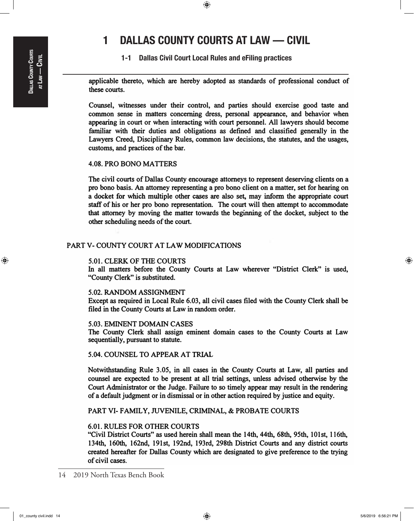$\bigoplus$ 

1-1 Dallas Civil Court Local Rules and eFiling practices

applicable thereto, which are hereby adopted as standards of professional conduct of these courts.

Counsel, witnesses under their control, and parties should exercise good taste and common sense in matters concerning dress, personal appearance, and behavior when appearing in court or when interacting with court personnel. All lawyers should become familiar with their duties and obligations as defined and classified generally in the Lawyers Creed, Disciplinary Rules, common law decisions, the statutes, and the usages, customs, and practices of the bar.

### 4.08. PRO BONO MAITERS

The civil courts of Dallas County encourage attorneys to represent deserving clients on a pro bono basis. An attorney representing a pro bono client on a matter, set for hearing on a docket for which multiple other cases are also set, may inform the appropriate court staff of his or her pro bono representation. The court will then attempt to accommodate that attorney by moving the matter towards the beginning of the docket, subject to the other scheduling needs of the court.

## PART V- COUNTY COURT AT LAW MODIFICATIONS

#### 5.01. CLERK OF THE COURTS

In all matters before the County Courts at Law wherever "District Clerk" is used, "County Clerk" is substituted.

#### 5.02. RANDOM ASSIGNMENT

Except as required in Local Rule 6.03, all civil cases filed with the County Clerk shall be filed in the County Courts at Law in random order.

#### 5.03. EMINENT DOMAIN CASES

The County Clerk shall assign eminent domain cases to the County Courts at Law sequentially, pursuant to statute.

5.04. COUNSEL TO APPEAR AT TRIAL

Notwithstanding Rule 3.05, in all cases in the County Courts at Law, all parties and counsel are expected to be present at all trial settings, unless advised otherwise by the Court Administrator or the Judge. Failure to so timely appear may result in the rendering of a default judgment or in dismissal or in other action required by justice and equity.

PART VI- FAMILY, JUVENILE, CRIMINAL, & PROBATE COURTS

## 6.01. RULES FOR OTHER COURTS

"Civil District Courts" as used herein shall mean the 14th, 44th, 68th, 95th, 101st, 116th, 134th, 160th, 162nd, 19lst, 192nd, 193rd, 298th District Courts and any district courts created hereafter for Dallas County which are designated to give preference to the trying of civil cases.

 $\textcircled{\scriptsize{+}}$ 

<sup>14</sup> 2019 North Texas Bench Book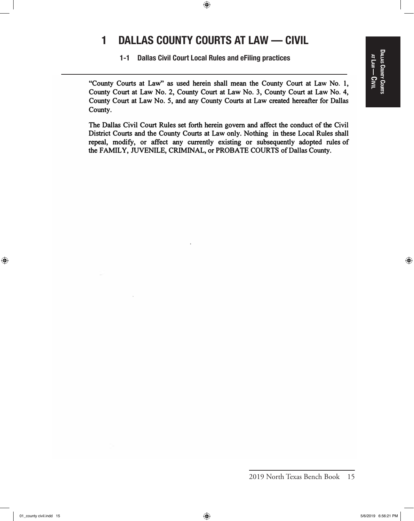$\bigoplus$ 

1-1 Dallas Civil Court Local Rules and eFiling practices

"County Courts at Law" as used herein shall mean the County Court at Law No. 1, County Court at Law No. 2, County Court at Law No. 3, County Court at Law No. 4, County Court at Law No. 5, and any County Courts at Law created hereafter for Dallas County.

The Dallas Civil Court Rules set forth herein govern and affect the conduct of the Civil District Courts and the County Courts at Law only. Nothing in these Local Rules shall repeal, modify, or affect any currently existing or subsequently adopted rules of the FAMILY, JUVENILE, CRIMINAL, or PROBATE COURTS of Dallas County.

⊕

2019 North Texas Bench Book 15

 $\bigoplus$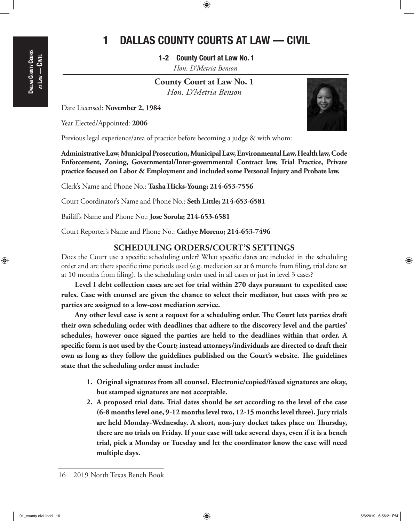$\textcolor{black}{\textcircled{\tiny \#}}$ 

1-2 County Court at Law No. 1 *Hon. D'Metria Benson*

**County Court at Law No. 1** *Hon. D'Metria Benson*

Date Licensed: **November 2, 1984**

Year Elected/Appointed: **2006**

Previous legal experience/area of practice before becoming a judge & with whom:

**Administrative Law, Municipal Prosecution, Municipal Law, Environmental Law, Health law, Code Enforcement, Zoning, Governmental/Inter-governmental Contract law, Trial Practice, Private practice focused on Labor & Employment and included some Personal Injury and Probate law.**

Clerk's Name and Phone No.: **Tasha Hicks-Young; 214-653-7556**

Court Coordinator's Name and Phone No.: **Seth Little; 214-653-6581**

Bailiff's Name and Phone No.: **Jose Sorola; 214-653-6581**

Court Reporter's Name and Phone No.: **Cathye Moreno; 214-653-7496**

## **SCHEDULING ORDERS/COURT'S SETTINGS**

Does the Court use a specific scheduling order? What specific dates are included in the scheduling order and are there specific time periods used (e.g. mediation set at 6 months from filing, trial date set at 10 months from filing). Is the scheduling order used in all cases or just in level 3 cases?

**Level I debt collection cases are set for trial within 270 days pursuant to expedited case rules. Case with counsel are given the chance to select their mediator, but cases with pro se parties are assigned to a low-cost mediation service.**

**Any other level case is sent a request for a scheduling order. The Court lets parties draft their own scheduling order with deadlines that adhere to the discovery level and the parties' schedules, however once signed the parties are held to the deadlines within that order. A specific form is not used by the Court; instead attorneys/individuals are directed to draft their own as long as they follow the guidelines published on the Court's website. The guidelines state that the scheduling order must include:**

- **1. Original signatures from all counsel. Electronic/copied/faxed signatures are okay, but stamped signatures are not acceptable.**
- **2. A proposed trial date. Trial dates should be set according to the level of the case (6-8 months level one, 9-12 months level two, 12-15 months level three). Jury trials are held Monday-Wednesday. A short, non-jury docket takes place on Thursday, there are no trials on Friday. If your case will take several days, even if it is a bench trial, pick a Monday or Tuesday and let the coordinator know the case will need multiple days.**

⊕



<sup>16</sup> 2019 North Texas Bench Book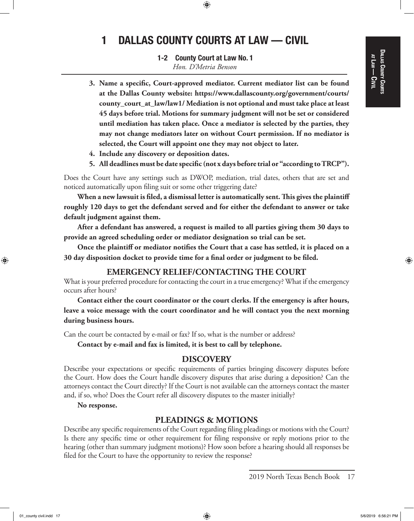## Dallas County Courts at Law<br>| <u>ດ</u><br>ອ

⊕

# 1 DALLAS COUNTY COURTS AT LAW — CIVIL

 $\textcolor{black}{\textcircled{\tiny \#}}$ 

1-2 County Court at Law No. 1 *Hon. D'Metria Benson*

- **3. Name a specific, Court-approved mediator. Current mediator list can be found at the Dallas County website: https://www.dallascounty.org/government/courts/ county\_court\_at\_law/law1/ Mediation is not optional and must take place at least 45 days before trial. Motions for summary judgment will not be set or considered until mediation has taken place. Once a mediator is selected by the parties, they may not change mediators later on without Court permission. If no mediator is selected, the Court will appoint one they may not object to later.**
- **4. Include any discovery or deposition dates.**
- **5. All deadlines must be date specific (not x days before trial or "according to TRCP").**

Does the Court have any settings such as DWOP, mediation, trial dates, others that are set and noticed automatically upon filing suit or some other triggering date?

**When a new lawsuit is filed, a dismissal letter is automatically sent. This gives the plaintiff roughly 120 days to get the defendant served and for either the defendant to answer or take default judgment against them.**

**After a defendant has answered, a request is mailed to all parties giving them 30 days to provide an agreed scheduling order or mediator designation so trial can be set.**

**Once the plaintiff or mediator notifies the Court that a case has settled, it is placed on a 30 day disposition docket to provide time for a final order or judgment to be filed.**

## **EMERGENCY RELIEF/CONTACTING THE COURT**

What is your preferred procedure for contacting the court in a true emergency? What if the emergency occurs after hours?

**Contact either the court coordinator or the court clerks. If the emergency is after hours, leave a voice message with the court coordinator and he will contact you the next morning during business hours.**

Can the court be contacted by e-mail or fax? If so, what is the number or address?

**Contact by e-mail and fax is limited, it is best to call by telephone.**

## **DISCOVERY**

Describe your expectations or specific requirements of parties bringing discovery disputes before the Court. How does the Court handle discovery disputes that arise during a deposition? Can the attorneys contact the Court directly? If the Court is not available can the attorneys contact the master and, if so, who? Does the Court refer all discovery disputes to the master initially?

**No response.**

## **PLEADINGS & MOTIONS**

Describe any specific requirements of the Court regarding filing pleadings or motions with the Court? Is there any specific time or other requirement for filing responsive or reply motions prior to the hearing (other than summary judgment motions)? How soon before a hearing should all responses be filed for the Court to have the opportunity to review the response?

2019 North Texas Bench Book 17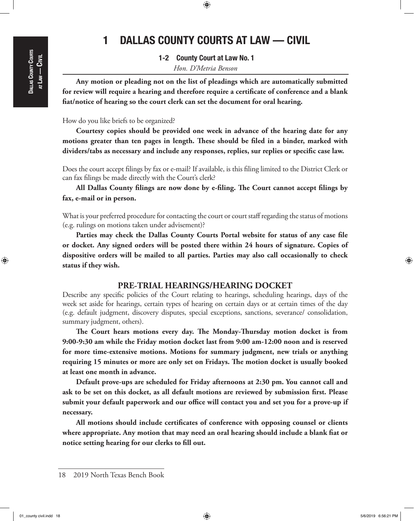$\textcolor{black}{\textcircled{\tiny \#}}$ 

1-2 County Court at Law No. 1 *Hon. D'Metria Benson*

**Any motion or pleading not on the list of pleadings which are automatically submitted for review will require a hearing and therefore require a certificate of conference and a blank fiat/notice of hearing so the court clerk can set the document for oral hearing.**

## How do you like briefs to be organized?

**Courtesy copies should be provided one week in advance of the hearing date for any motions greater than ten pages in length. These should be filed in a binder, marked with dividers/tabs as necessary and include any responses, replies, sur replies or specific case law.**

Does the court accept filings by fax or e-mail? If available, is this filing limited to the District Clerk or can fax filings be made directly with the Court's clerk?

**All Dallas County filings are now done by e-filing. The Court cannot accept filings by fax, e-mail or in person.**

What is your preferred procedure for contacting the court or court staff regarding the status of motions (e.g. rulings on motions taken under advisement)?

**Parties may check the Dallas County Courts Portal website for status of any case file or docket. Any signed orders will be posted there within 24 hours of signature. Copies of dispositive orders will be mailed to all parties. Parties may also call occasionally to check status if they wish.**

## **PRE-TRIAL HEARINGS/HEARING DOCKET**

Describe any specific policies of the Court relating to hearings, scheduling hearings, days of the week set aside for hearings, certain types of hearing on certain days or at certain times of the day (e.g. default judgment, discovery disputes, special exceptions, sanctions, severance/ consolidation, summary judgment, others).

**The Court hears motions every day. The Monday-Thursday motion docket is from 9:00-9:30 am while the Friday motion docket last from 9:00 am-12:00 noon and is reserved for more time-extensive motions. Motions for summary judgment, new trials or anything requiring 15 minutes or more are only set on Fridays. The motion docket is usually booked at least one month in advance.**

**Default prove-ups are scheduled for Friday afternoons at 2:30 pm. You cannot call and ask to be set on this docket, as all default motions are reviewed by submission first. Please submit your default paperwork and our office will contact you and set you for a prove-up if necessary.**

**All motions should include certificates of conference with opposing counsel or clients where appropriate. Any motion that may need an oral hearing should include a blank fiat or notice setting hearing for our clerks to fill out.**

⊕

<sup>18</sup> 2019 North Texas Bench Book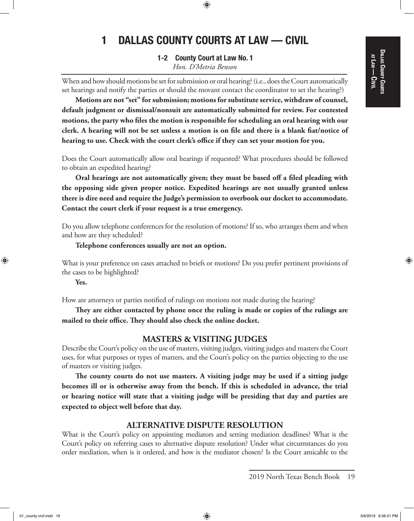## DALLAS COUNTY COURTS Dallas County Courts at Law<br>| <u>ດ</u><br>ອ

⊕

# 1 DALLAS COUNTY COURTS AT LAW — CIVIL

 $\textcolor{black}{\textcircled{\tiny \#}}$ 

1-2 County Court at Law No. 1 *Hon. D'Metria Benson*

When and how should motions be set for submission or oral hearing? (i.e., does the Court automatically set hearings and notify the parties or should the movant contact the coordinator to set the hearing?)

**Motions are not "set" for submission; motions for substitute service, withdraw of counsel, default judgment or dismissal/nonsuit are automatically submitted for review. For contested motions, the party who files the motion is responsible for scheduling an oral hearing with our clerk. A hearing will not be set unless a motion is on file and there is a blank fiat/notice of hearing to use. Check with the court clerk's office if they can set your motion for you.**

Does the Court automatically allow oral hearings if requested? What procedures should be followed to obtain an expedited hearing?

**Oral hearings are not automatically given; they must be based off a filed pleading with the opposing side given proper notice. Expedited hearings are not usually granted unless there is dire need and require the Judge's permission to overbook our docket to accommodate. Contact the court clerk if your request is a true emergency.**

Do you allow telephone conferences for the resolution of motions? If so, who arranges them and when and how are they scheduled?

**Telephone conferences usually are not an option.**

What is your preference on cases attached to briefs or motions? Do you prefer pertinent provisions of the cases to be highlighted?

**Yes.**

⊕

How are attorneys or parties notified of rulings on motions not made during the hearing?

**They are either contacted by phone once the ruling is made or copies of the rulings are mailed to their office. They should also check the online docket.**

## **MASTERS & VISITING JUDGES**

Describe the Court's policy on the use of masters, visiting judges, visiting judges and masters the Court uses, for what purposes or types of matters, and the Court's policy on the parties objecting to the use of masters or visiting judges.

**The county courts do not use masters. A visiting judge may be used if a sitting judge becomes ill or is otherwise away from the bench. If this is scheduled in advance, the trial or hearing notice will state that a visiting judge will be presiding that day and parties are expected to object well before that day.** 

## **ALTERNATIVE DISPUTE RESOLUTION**

What is the Court's policy on appointing mediators and setting mediation deadlines? What is the Court's policy on referring cases to alternative dispute resolution? Under what circumstances do you order mediation, when is it ordered, and how is the mediator chosen? Is the Court amicable to the

2019 North Texas Bench Book 19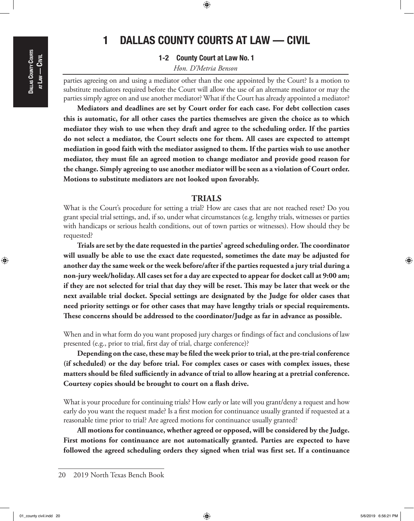⊕

# 1 DALLAS COUNTY COURTS AT LAW — CIVIL

 $\bigoplus$ 

## 1-2 County Court at Law No. 1 *Hon. D'Metria Benson*

parties agreeing on and using a mediator other than the one appointed by the Court? Is a motion to substitute mediators required before the Court will allow the use of an alternate mediator or may the parties simply agree on and use another mediator? What if the Court has already appointed a mediator?

**Mediators and deadlines are set by Court order for each case. For debt collection cases this is automatic, for all other cases the parties themselves are given the choice as to which mediator they wish to use when they draft and agree to the scheduling order. If the parties do not select a mediator, the Court selects one for them. All cases are expected to attempt mediation in good faith with the mediator assigned to them. If the parties wish to use another mediator, they must file an agreed motion to change mediator and provide good reason for the change. Simply agreeing to use another mediator will be seen as a violation of Court order. Motions to substitute mediators are not looked upon favorably.**

## **TRIALS**

What is the Court's procedure for setting a trial? How are cases that are not reached reset? Do you grant special trial settings, and, if so, under what circumstances (e.g. lengthy trials, witnesses or parties with handicaps or serious health conditions, out of town parties or witnesses). How should they be requested?

**Trials are set by the date requested in the parties' agreed scheduling order. The coordinator will usually be able to use the exact date requested, sometimes the date may be adjusted for another day the same week or the week before/after if the parties requested a jury trial during a non-jury week/holiday. All cases set for a day are expected to appear for docket call at 9:00 am; if they are not selected for trial that day they will be reset. This may be later that week or the next available trial docket. Special settings are designated by the Judge for older cases that need priority settings or for other cases that may have lengthy trials or special requirements. These concerns should be addressed to the coordinator/Judge as far in advance as possible.**

When and in what form do you want proposed jury charges or findings of fact and conclusions of law presented (e.g., prior to trial, first day of trial, charge conference)?

**Depending on the case, these may be filed the week prior to trial, at the pre-trial conference (if scheduled) or the day before trial. For complex cases or cases with complex issues, these matters should be filed sufficiently in advance of trial to allow hearing at a pretrial conference. Courtesy copies should be brought to court on a flash drive.**

What is your procedure for continuing trials? How early or late will you grant/deny a request and how early do you want the request made? Is a first motion for continuance usually granted if requested at a reasonable time prior to trial? Are agreed motions for continuance usually granted?

**All motions for continuance, whether agreed or opposed, will be considered by the Judge. First motions for continuance are not automatically granted. Parties are expected to have followed the agreed scheduling orders they signed when trial was first set. If a continuance** 

<sup>20</sup> 2019 North Texas Bench Book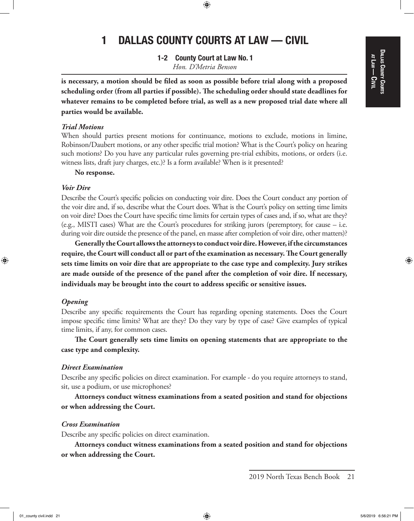## DALLAS COUNTY COURTS Dallas County Courts at Law<br>| <u>ດ</u><br>ອ

⊕

# 1 DALLAS COUNTY COURTS AT LAW — CIVIL

 $\textcolor{black}{\textcircled{\tiny \#}}$ 

1-2 County Court at Law No. 1 *Hon. D'Metria Benson*

**is necessary, a motion should be filed as soon as possible before trial along with a proposed scheduling order (from all parties if possible). The scheduling order should state deadlines for whatever remains to be completed before trial, as well as a new proposed trial date where all parties would be available.**

#### *Trial Motions*

When should parties present motions for continuance, motions to exclude, motions in limine, Robinson/Daubert motions, or any other specific trial motion? What is the Court's policy on hearing such motions? Do you have any particular rules governing pre-trial exhibits, motions, or orders (i.e. witness lists, draft jury charges, etc.)? Is a form available? When is it presented?

#### **No response.**

#### *Voir Dire*

Describe the Court's specific policies on conducting voir dire. Does the Court conduct any portion of the voir dire and, if so, describe what the Court does. What is the Court's policy on setting time limits on voir dire? Does the Court have specific time limits for certain types of cases and, if so, what are they? (e.g., MISTI cases) What are the Court's procedures for striking jurors (peremptory, for cause – i.e. during voir dire outside the presence of the panel, en masse after completion of voir dire, other matters)?

**Generally the Court allows the attorneys to conduct voir dire. However, if the circumstances require, the Court will conduct all or part of the examination as necessary. The Court generally sets time limits on voir dire that are appropriate to the case type and complexity. Jury strikes are made outside of the presence of the panel after the completion of voir dire. If necessary, individuals may be brought into the court to address specific or sensitive issues.**

#### *Opening*

⊕

Describe any specific requirements the Court has regarding opening statements. Does the Court impose specific time limits? What are they? Do they vary by type of case? Give examples of typical time limits, if any, for common cases.

**The Court generally sets time limits on opening statements that are appropriate to the case type and complexity.**

#### *Direct Examination*

Describe any specific policies on direct examination. For example - do you require attorneys to stand, sit, use a podium, or use microphones?

**Attorneys conduct witness examinations from a seated position and stand for objections or when addressing the Court.**

### *Cross Examination*

Describe any specific policies on direct examination.

**Attorneys conduct witness examinations from a seated position and stand for objections or when addressing the Court.**

<sup>2019</sup> North Texas Bench Book 21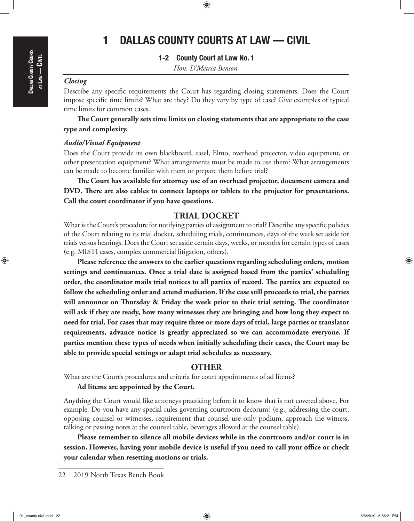$\textcolor{black}{\textcircled{\tiny \#}}$ 

1-2 County Court at Law No. 1

*Hon. D'Metria Benson*

## *Closing*

Describe any specific requirements the Court has regarding closing statements. Does the Court impose specific time limits? What are they? Do they vary by type of case? Give examples of typical time limits for common cases.

**The Court generally sets time limits on closing statements that are appropriate to the case type and complexity.**

#### *Audio/Visual Equipment*

Does the Court provide its own blackboard, easel, Elmo, overhead projector, video equipment, or other presentation equipment? What arrangements must be made to use them? What arrangements can be made to become familiar with them or prepare them before trial?

**The Court has available for attorney use of an overhead projector, document camera and DVD. There are also cables to connect laptops or tablets to the projector for presentations. Call the court coordinator if you have questions.**

## **TRIAL DOCKET**

What is the Court's procedure for notifying parties of assignment to trial? Describe any specific policies of the Court relating to its trial docket, scheduling trials, continuances, days of the week set aside for trials versus hearings. Does the Court set aside certain days, weeks, or months for certain types of cases (e.g. MISTI cases, complex commercial litigation, others).

**Please reference the answers to the earlier questions regarding scheduling orders, motion settings and continuances. Once a trial date is assigned based from the parties' scheduling order, the coordinator mails trial notices to all parties of record. The parties are expected to follow the scheduling order and attend mediation. If the case still proceeds to trial, the parties will announce on Thursday & Friday the week prior to their trial setting. The coordinator will ask if they are ready, how many witnesses they are bringing and how long they expect to need for trial. For cases that may require three or more days of trial, large parties or translator requirements, advance notice is greatly appreciated so we can accommodate everyone. If parties mention these types of needs when initially scheduling their cases, the Court may be able to provide special settings or adapt trial schedules as necessary.**

## **OTHER**

What are the Court's procedures and criteria for court appointments of ad litems?

#### **Ad litems are appointed by the Court.**

Anything the Court would like attorneys practicing before it to know that is not covered above. For example: Do you have any special rules governing courtroom decorum? (e.g., addressing the court, opposing counsel or witnesses, requirement that counsel use only podium, approach the witness, talking or passing notes at the counsel table, beverages allowed at the counsel table).

**Please remember to silence all mobile devices while in the courtroom and/or court is in session. However, having your mobile device is useful if you need to call your office or check your calendar when resetting motions or trials.** 

⊕

<sup>22</sup> 2019 North Texas Bench Book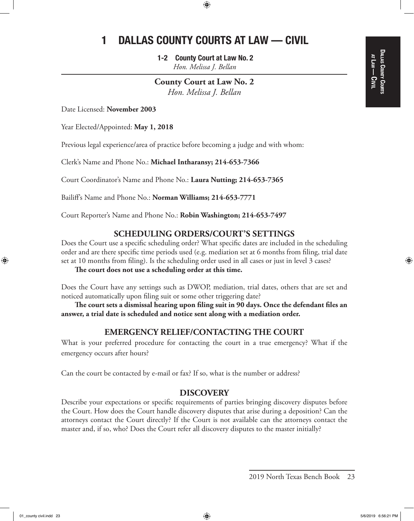$\textcolor{black}{\textcircled{\tiny \#}}$ 

1-2 County Court at Law No. 2 *Hon. Melissa J. Bellan*

**County Court at Law No. 2** *Hon. Melissa J. Bellan*

Date Licensed: **November 2003**

Year Elected/Appointed: **May 1, 2018**

Previous legal experience/area of practice before becoming a judge and with whom:

Clerk's Name and Phone No.: **Michael Intharansy; 214-653-7366**

Court Coordinator's Name and Phone No.: **Laura Nutting; 214-653-7365**

Bailiff's Name and Phone No.: **Norman Williams; 214-653-7771**

Court Reporter's Name and Phone No.: **Robin Washington; 214-653-7497**

## **SCHEDULING ORDERS/COURT'S SETTINGS**

Does the Court use a specific scheduling order? What specific dates are included in the scheduling order and are there specific time periods used (e.g. mediation set at 6 months from filing, trial date set at 10 months from filing). Is the scheduling order used in all cases or just in level 3 cases?

**The court does not use a scheduling order at this time.**

Does the Court have any settings such as DWOP, mediation, trial dates, others that are set and noticed automatically upon filing suit or some other triggering date?

**The court sets a dismissal hearing upon filing suit in 90 days. Once the defendant files an answer, a trial date is scheduled and notice sent along with a mediation order.**

## **EMERGENCY RELIEF/CONTACTING THE COURT**

What is your preferred procedure for contacting the court in a true emergency? What if the emergency occurs after hours?

Can the court be contacted by e-mail or fax? If so, what is the number or address?

## **DISCOVERY**

Describe your expectations or specific requirements of parties bringing discovery disputes before the Court. How does the Court handle discovery disputes that arise during a deposition? Can the attorneys contact the Court directly? If the Court is not available can the attorneys contact the master and, if so, who? Does the Court refer all discovery disputes to the master initially?

⊕

<sup>2019</sup> North Texas Bench Book 23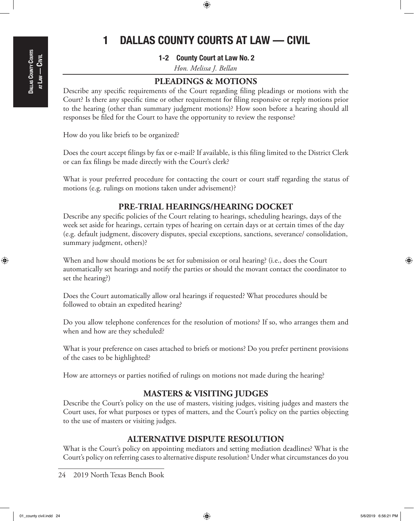⊕

# 1 DALLAS COUNTY COURTS AT LAW — CIVIL

 $\textcolor{black}{\textcircled{\footnotesize{1}}}$ 

1-2 County Court at Law No. 2

*Hon. Melissa J. Bellan*

## **PLEADINGS & MOTIONS**

Describe any specific requirements of the Court regarding filing pleadings or motions with the Court? Is there any specific time or other requirement for filing responsive or reply motions prior to the hearing (other than summary judgment motions)? How soon before a hearing should all responses be filed for the Court to have the opportunity to review the response?

How do you like briefs to be organized?

Does the court accept filings by fax or e-mail? If available, is this filing limited to the District Clerk or can fax filings be made directly with the Court's clerk?

What is your preferred procedure for contacting the court or court staff regarding the status of motions (e.g. rulings on motions taken under advisement)?

## **PRE-TRIAL HEARINGS/HEARING DOCKET**

Describe any specific policies of the Court relating to hearings, scheduling hearings, days of the week set aside for hearings, certain types of hearing on certain days or at certain times of the day (e.g. default judgment, discovery disputes, special exceptions, sanctions, severance/ consolidation, summary judgment, others)?

When and how should motions be set for submission or oral hearing? (i.e., does the Court automatically set hearings and notify the parties or should the movant contact the coordinator to set the hearing?)

Does the Court automatically allow oral hearings if requested? What procedures should be followed to obtain an expedited hearing?

Do you allow telephone conferences for the resolution of motions? If so, who arranges them and when and how are they scheduled?

What is your preference on cases attached to briefs or motions? Do you prefer pertinent provisions of the cases to be highlighted?

How are attorneys or parties notified of rulings on motions not made during the hearing?

## **MASTERS & VISITING JUDGES**

Describe the Court's policy on the use of masters, visiting judges, visiting judges and masters the Court uses, for what purposes or types of matters, and the Court's policy on the parties objecting to the use of masters or visiting judges.

## **ALTERNATIVE DISPUTE RESOLUTION**

What is the Court's policy on appointing mediators and setting mediation deadlines? What is the Court's policy on referring cases to alternative dispute resolution? Under what circumstances do you

24 2019 North Texas Bench Book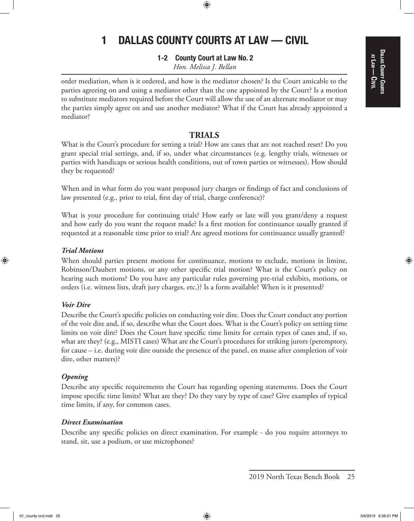## DALLAS COUNTY COURTS Dallas County Courts at Law<br>| <u>ດ</u><br>ອ

⊕

# 1 DALLAS COUNTY COURTS AT LAW — CIVIL

 $\textcolor{black}{\textcircled{\footnotesize{1}}}$ 

1-2 County Court at Law No. 2 *Hon. Melissa J. Bellan*

order mediation, when is it ordered, and how is the mediator chosen? Is the Court amicable to the parties agreeing on and using a mediator other than the one appointed by the Court? Is a motion to substitute mediators required before the Court will allow the use of an alternate mediator or may the parties simply agree on and use another mediator? What if the Court has already appointed a mediator?

## **TRIALS**

What is the Court's procedure for setting a trial? How are cases that are not reached reset? Do you grant special trial settings, and, if so, under what circumstances (e.g. lengthy trials, witnesses or parties with handicaps or serious health conditions, out of town parties or witnesses). How should they be requested?

When and in what form do you want proposed jury charges or findings of fact and conclusions of law presented (e.g., prior to trial, first day of trial, charge conference)?

What is your procedure for continuing trials? How early or late will you grant/deny a request and how early do you want the request made? Is a first motion for continuance usually granted if requested at a reasonable time prior to trial? Are agreed motions for continuance usually granted?

## *Trial Motions*

⊕

When should parties present motions for continuance, motions to exclude, motions in limine, Robinson/Daubert motions, or any other specific trial motion? What is the Court's policy on hearing such motions? Do you have any particular rules governing pre-trial exhibits, motions, or orders (i.e. witness lists, draft jury charges, etc.)? Is a form available? When is it presented?

#### *Voir Dire*

Describe the Court's specific policies on conducting voir dire. Does the Court conduct any portion of the voir dire and, if so, describe what the Court does. What is the Court's policy on setting time limits on voir dire? Does the Court have specific time limits for certain types of cases and, if so, what are they? (e.g., MISTI cases) What are the Court's procedures for striking jurors (peremptory, for cause – i.e. during voir dire outside the presence of the panel, en masse after completion of voir dire, other matters)?

#### *Opening*

Describe any specific requirements the Court has regarding opening statements. Does the Court impose specific time limits? What are they? Do they vary by type of case? Give examples of typical time limits, if any, for common cases.

## *Direct Examination*

Describe any specific policies on direct examination. For example - do you require attorneys to stand, sit, use a podium, or use microphones?

01\_county civil.indd 25  $5/6/2019$  6:56:21 PM

<sup>2019</sup> North Texas Bench Book 25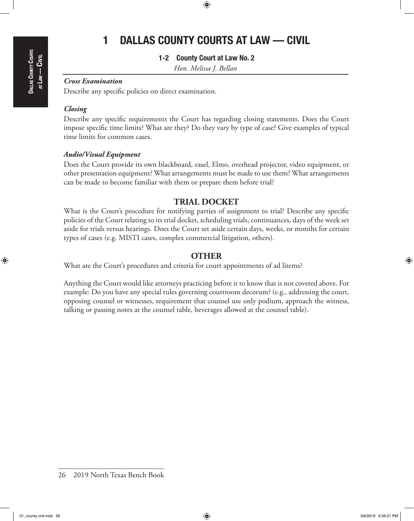## $\textcolor{black}{\textcircled{\footnotesize{1}}}$

# 1 DALLAS COUNTY COURTS AT LAW — CIVIL

## 1-2 County Court at Law No. 2

*Hon. Melissa J. Bellan*

## *Cross Examination*

Describe any specific policies on direct examination.

## *Closing*

Describe any specific requirements the Court has regarding closing statements. Does the Court impose specific time limits? What are they? Do they vary by type of case? Give examples of typical time limits for common cases.

### *Audio/Visual Equipment*

Does the Court provide its own blackboard, easel, Elmo, overhead projector, video equipment, or other presentation equipment? What arrangements must be made to use them? What arrangements can be made to become familiar with them or prepare them before trial?

## **TRIAL DOCKET**

What is the Court's procedure for notifying parties of assignment to trial? Describe any specific policies of the Court relating to its trial docket, scheduling trials, continuances, days of the week set aside for trials versus hearings. Does the Court set aside certain days, weeks, or months for certain types of cases (e.g. MISTI cases, complex commercial litigation, others).

## **OTHER**

What are the Court's procedures and criteria for court appointments of ad litems?

Anything the Court would like attorneys practicing before it to know that is not covered above. For example: Do you have any special rules governing courtroom decorum? (e.g., addressing the court, opposing counsel or witnesses, requirement that counsel use only podium, approach the witness, talking or passing notes at the counsel table, beverages allowed at the counsel table).

⊕

<sup>26</sup> 2019 North Texas Bench Book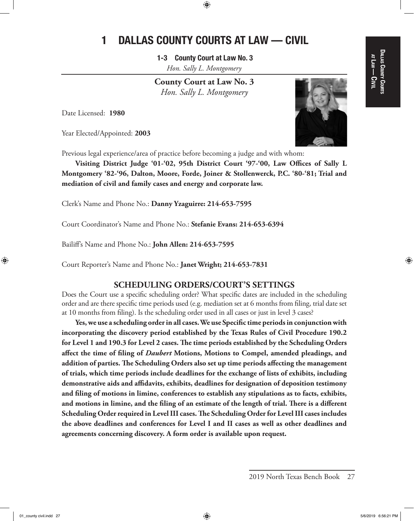⊕

1-3 County Court at Law No. 3 *Hon. Sally L. Montgomery*

**County Court at Law No. 3** *Hon. Sally L. Montgomery*

Date Licensed: **1980**

Year Elected/Appointed: **2003**



Previous legal experience/area of practice before becoming a judge and with whom:

**Visiting District Judge '01-'02, 95th District Court '97-'00, Law Offices of Sally L Montgomery '82-'96, Dalton, Moore, Forde, Joiner & Stollenwerck, P.C. '80-'81; Trial and mediation of civil and family cases and energy and corporate law.**

Clerk's Name and Phone No.: **Danny Yzaguirre: 214-653-7595**

Court Coordinator's Name and Phone No.: **Stefanie Evans: 214-653-6394**

Bailiff's Name and Phone No.: **John Allen: 214-653-7595**

Court Reporter's Name and Phone No.: **Janet Wright; 214-653-7831**

## **SCHEDULING ORDERS/COURT'S SETTINGS**

Does the Court use a specific scheduling order? What specific dates are included in the scheduling order and are there specific time periods used (e.g. mediation set at 6 months from filing, trial date set at 10 months from filing). Is the scheduling order used in all cases or just in level 3 cases?

**Yes, we use a scheduling order in all cases. We use Specific time periods in conjunction with incorporating the discovery period established by the Texas Rules of Civil Procedure 190.2 for Level 1 and 190.3 for Level 2 cases. The time periods established by the Scheduling Orders affect the time of filing of** *Daubert* **Motions, Motions to Compel, amended pleadings, and addition of parties. The Scheduling Orders also set up time periods affecting the management of trials, which time periods include deadlines for the exchange of lists of exhibits, including demonstrative aids and affidavits, exhibits, deadlines for designation of deposition testimony and filing of motions in limine, conferences to establish any stipulations as to facts, exhibits, and motions in limine, and the filing of an estimate of the length of trial. There is a different Scheduling Order required in Level III cases. The Scheduling Order for Level III cases includes the above deadlines and conferences for Level I and II cases as well as other deadlines and agreements concerning discovery. A form order is available upon request.** 

⊕

Dallas County Courts DALLAS COUNTY COURTS at Law<br>| <u>ດ</u><br>ອ

<sup>2019</sup> North Texas Bench Book 27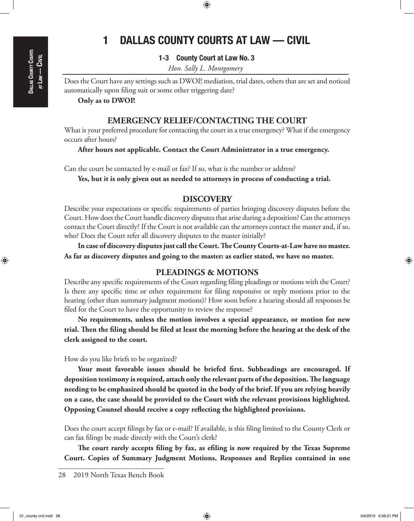# Dallas County Courts  $A$ TLAW — Civil

⊕

# 1 DALLAS COUNTY COURTS AT LAW — CIVIL

 $\textcolor{black}{\textcircled{\footnotesize{1}}}$ 

1-3 County Court at Law No. 3

*Hon. Sally L. Montgomery*

Does the Court have any settings such as DWOP, mediation, trial dates, others that are set and noticed automatically upon filing suit or some other triggering date?

**Only as to DWOP.**

## **EMERGENCY RELIEF/CONTACTING THE COURT**

What is your preferred procedure for contacting the court in a true emergency? What if the emergency occurs after hours?

**After hours not applicable. Contact the Court Administrator in a true emergency.**

Can the court be contacted by e-mail or fax? If so, what is the number or address?

**Yes, but it is only given out as needed to attorneys in process of conducting a trial.**

## **DISCOVERY**

Describe your expectations or specific requirements of parties bringing discovery disputes before the Court. How does the Court handle discovery disputes that arise during a deposition? Can the attorneys contact the Court directly? If the Court is not available can the attorneys contact the master and, if so, who? Does the Court refer all discovery disputes to the master initially?

**In case of discovery disputes just call the Court. The County Courts-at-Law have no master. As far as discovery disputes and going to the master: as earlier stated, we have no master.**

## **PLEADINGS & MOTIONS**

Describe any specific requirements of the Court regarding filing pleadings or motions with the Court? Is there any specific time or other requirement for filing responsive or reply motions prior to the hearing (other than summary judgment motions)? How soon before a hearing should all responses be filed for the Court to have the opportunity to review the response?

**No requirements, unless the motion involves a special appearance, or motion for new trial. Then the filing should be filed at least the morning before the hearing at the desk of the clerk assigned to the court.** 

How do you like briefs to be organized?

**Your most favorable issues should be briefed first. Subheadings are encouraged. If deposition testimony is required, attach only the relevant parts of the deposition. The language needing to be emphasized should be quoted in the body of the brief. If you are relying heavily on a case, the case should be provided to the Court with the relevant provisions highlighted. Opposing Counsel should receive a copy reflecting the highlighted provisions.**

Does the court accept filings by fax or e-mail? If available, is this filing limited to the County Clerk or can fax filings be made directly with the Court's clerk?

**The court rarely accepts filing by fax, as efiling is now required by the Texas Supreme Court. Copies of Summary Judgment Motions, Responses and Replies contained in one** 

<sup>28</sup> 2019 North Texas Bench Book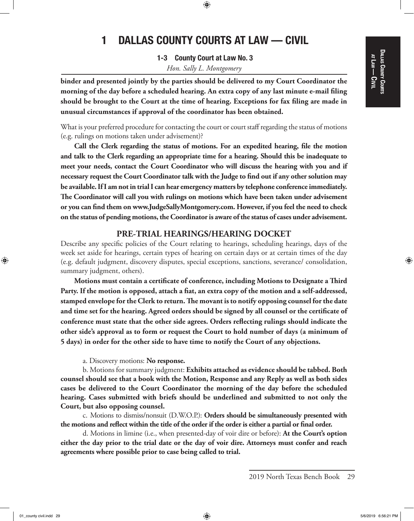## DALLAS COUNTY COURTS Dallas County Courts at Law<br>| <u>ດ</u><br>ອ

⊕

# 1 DALLAS COUNTY COURTS AT LAW — CIVIL

⊕

1-3 County Court at Law No. 3 *Hon. Sally L. Montgomery*

**binder and presented jointly by the parties should be delivered to my Court Coordinator the morning of the day before a scheduled hearing. An extra copy of any last minute e-mail filing should be brought to the Court at the time of hearing. Exceptions for fax filing are made in unusual circumstances if approval of the coordinator has been obtained.**

What is your preferred procedure for contacting the court or court staff regarding the status of motions (e.g. rulings on motions taken under advisement)?

**Call the Clerk regarding the status of motions. For an expedited hearing, file the motion and talk to the Clerk regarding an appropriate time for a hearing. Should this be inadequate to meet your needs, contact the Court Coordinator who will discuss the hearing with you and if necessary request the Court Coordinator talk with the Judge to find out if any other solution may be available. If I am not in trial I can hear emergency matters by telephone conference immediately. The Coordinator will call you with rulings on motions which have been taken under advisement or you can find them on www.JudgeSallyMontgomery.com. However, if you feel the need to check on the status of pending motions, the Coordinator is aware of the status of cases under advisement.** 

## **PRE-TRIAL HEARINGS/HEARING DOCKET**

Describe any specific policies of the Court relating to hearings, scheduling hearings, days of the week set aside for hearings, certain types of hearing on certain days or at certain times of the day (e.g. default judgment, discovery disputes, special exceptions, sanctions, severance/ consolidation, summary judgment, others).

**Motions must contain a certificate of conference, including Motions to Designate a Third Party. If the motion is opposed, attach a fiat, an extra copy of the motion and a self-addressed, stamped envelope for the Clerk to return. The movant is to notify opposing counsel for the date and time set for the hearing. Agreed orders should be signed by all counsel or the certificate of conference must state that the other side agrees. Orders reflecting rulings should indicate the other side's approval as to form or request the Court to hold number of days (a minimum of 5 days) in order for the other side to have time to notify the Court of any objections.**

a. Discovery motions: **No response.**

b. Motions for summary judgment: **Exhibits attached as evidence should be tabbed. Both counsel should see that a book with the Motion, Response and any Reply as well as both sides cases be delivered to the Court Coordinator the morning of the day before the scheduled hearing. Cases submitted with briefs should be underlined and submitted to not only the Court, but also opposing counsel.**

c. Motions to dismiss/nonsuit (D.W.O.P.): **Orders should be simultaneously presented with the motions and reflect within the title of the order if the order is either a partial or final order.**

d. Motions in limine (i.e., when presented-day of voir dire or before): **At the Court's option either the day prior to the trial date or the day of voir dire. Attorneys must confer and reach agreements where possible prior to case being called to trial.**

<sup>2019</sup> North Texas Bench Book 29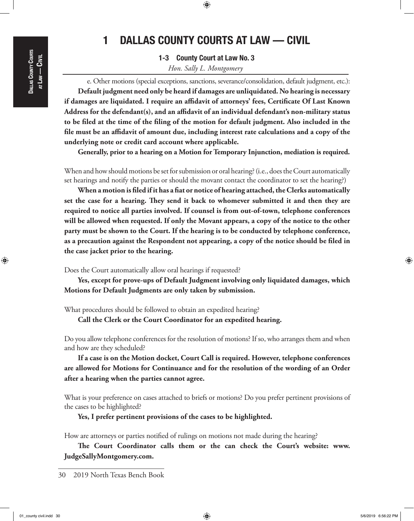# Dallas County Courts  $A$ TLAW — Civil

 $\textcircled{\scriptsize{+}}$ 

# 1 DALLAS COUNTY COURTS AT LAW — CIVIL

 $\textcolor{black}{\textcircled{\footnotesize{1}}}$ 

1-3 County Court at Law No. 3 *Hon. Sally L. Montgomery*

e. Other motions (special exceptions, sanctions, severance/consolidation, default judgment, etc.): **Default judgment need only be heard if damages are unliquidated. No hearing is necessary if damages are liquidated. I require an affidavit of attorneys' fees, Certificate Of Last Known Address for the defendant(s), and an affidavit of an individual defendant's non-military status to be filed at the time of the filing of the motion for default judgment. Also included in the file must be an affidavit of amount due, including interest rate calculations and a copy of the underlying note or credit card account where applicable.**

**Generally, prior to a hearing on a Motion for Temporary Injunction, mediation is required.**

When and how should motions be set for submission or oral hearing? (i.e., does the Court automatically set hearings and notify the parties or should the movant contact the coordinator to set the hearing?)

**When a motion is filed if it has a fiat or notice of hearing attached, the Clerks automatically set the case for a hearing. They send it back to whomever submitted it and then they are required to notice all parties involved. If counsel is from out-of-town, telephone conferences will be allowed when requested. If only the Movant appears, a copy of the notice to the other party must be shown to the Court. If the hearing is to be conducted by telephone conference, as a precaution against the Respondent not appearing, a copy of the notice should be filed in the case jacket prior to the hearing.** 

Does the Court automatically allow oral hearings if requested?

**Yes, except for prove-ups of Default Judgment involving only liquidated damages, which Motions for Default Judgments are only taken by submission.**

What procedures should be followed to obtain an expedited hearing?

**Call the Clerk or the Court Coordinator for an expedited hearing.**

Do you allow telephone conferences for the resolution of motions? If so, who arranges them and when and how are they scheduled?

**If a case is on the Motion docket, Court Call is required. However, telephone conferences are allowed for Motions for Continuance and for the resolution of the wording of an Order after a hearing when the parties cannot agree.**

What is your preference on cases attached to briefs or motions? Do you prefer pertinent provisions of the cases to be highlighted?

**Yes, I prefer pertinent provisions of the cases to be highlighted.**

How are attorneys or parties notified of rulings on motions not made during the hearing?

**The Court Coordinator calls them or the can check the Court's website: www. JudgeSallyMontgomery.com.**

30 2019 North Texas Bench Book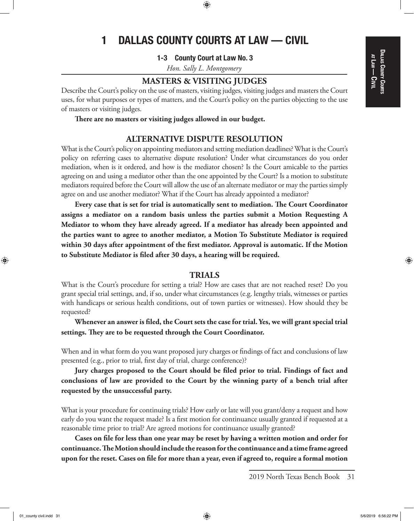$\textcolor{black}{\textcircled{\footnotesize{1}}}$ 

1-3 County Court at Law No. 3

*Hon. Sally L. Montgomery*

## **MASTERS & VISITING JUDGES**

Describe the Court's policy on the use of masters, visiting judges, visiting judges and masters the Court uses, for what purposes or types of matters, and the Court's policy on the parties objecting to the use of masters or visiting judges.

**There are no masters or visiting judges allowed in our budget.** 

## **ALTERNATIVE DISPUTE RESOLUTION**

What is the Court's policy on appointing mediators and setting mediation deadlines? What is the Court's policy on referring cases to alternative dispute resolution? Under what circumstances do you order mediation, when is it ordered, and how is the mediator chosen? Is the Court amicable to the parties agreeing on and using a mediator other than the one appointed by the Court? Is a motion to substitute mediators required before the Court will allow the use of an alternate mediator or may the parties simply agree on and use another mediator? What if the Court has already appointed a mediator?

**Every case that is set for trial is automatically sent to mediation. The Court Coordinator assigns a mediator on a random basis unless the parties submit a Motion Requesting A Mediator to whom they have already agreed. If a mediator has already been appointed and the parties want to agree to another mediator, a Motion To Substitute Mediator is required within 30 days after appointment of the first mediator. Approval is automatic. If the Motion to Substitute Mediator is filed after 30 days, a hearing will be required.**

## **TRIALS**

What is the Court's procedure for setting a trial? How are cases that are not reached reset? Do you grant special trial settings, and, if so, under what circumstances (e.g. lengthy trials, witnesses or parties with handicaps or serious health conditions, out of town parties or witnesses). How should they be requested?

**Whenever an answer is filed, the Court sets the case for trial. Yes, we will grant special trial settings. They are to be requested through the Court Coordinator.**

When and in what form do you want proposed jury charges or findings of fact and conclusions of law presented (e.g., prior to trial, first day of trial, charge conference)?

**Jury charges proposed to the Court should be filed prior to trial. Findings of fact and conclusions of law are provided to the Court by the winning party of a bench trial after requested by the unsuccessful party.**

What is your procedure for continuing trials? How early or late will you grant/deny a request and how early do you want the request made? Is a first motion for continuance usually granted if requested at a reasonable time prior to trial? Are agreed motions for continuance usually granted?

**Cases on file for less than one year may be reset by having a written motion and order for continuance. The Motion should include the reason for the continuance and a time frame agreed upon for the reset. Cases on file for more than a year, even if agreed to, require a formal motion**  ⊕

<sup>2019</sup> North Texas Bench Book 31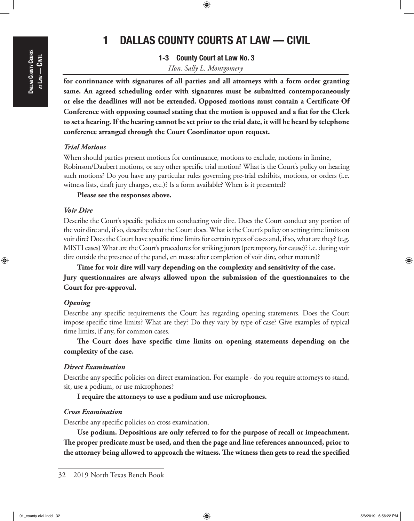⊕

# 1 DALLAS COUNTY COURTS AT LAW — CIVIL

 $\textcolor{black}{\textcircled{\footnotesize{1}}}$ 

1-3 County Court at Law No. 3

*Hon. Sally L. Montgomery*

**for continuance with signatures of all parties and all attorneys with a form order granting same. An agreed scheduling order with signatures must be submitted contemporaneously or else the deadlines will not be extended. Opposed motions must contain a Certificate Of Conference with opposing counsel stating that the motion is opposed and a fiat for the Clerk to set a hearing. If the hearing cannot be set prior to the trial date, it will be heard by telephone conference arranged through the Court Coordinator upon request.**

## *Trial Motions*

When should parties present motions for continuance, motions to exclude, motions in limine, Robinson/Daubert motions, or any other specific trial motion? What is the Court's policy on hearing such motions? Do you have any particular rules governing pre-trial exhibits, motions, or orders (i.e. witness lists, draft jury charges, etc.)? Is a form available? When is it presented?

### **Please see the responses above.**

### *Voir Dire*

Describe the Court's specific policies on conducting voir dire. Does the Court conduct any portion of the voir dire and, if so, describe what the Court does. What is the Court's policy on setting time limits on voir dire? Does the Court have specific time limits for certain types of cases and, if so, what are they? (e.g. MISTI cases) What are the Court's procedures for striking jurors (peremptory, for cause)? i.e. during voir dire outside the presence of the panel, en masse after completion of voir dire, other matters)?

**Time for voir dire will vary depending on the complexity and sensitivity of the case. Jury questionnaires are always allowed upon the submission of the questionnaires to the Court for pre-approval.**

## *Opening*

Describe any specific requirements the Court has regarding opening statements. Does the Court impose specific time limits? What are they? Do they vary by type of case? Give examples of typical time limits, if any, for common cases.

**The Court does have specific time limits on opening statements depending on the complexity of the case.** 

## *Direct Examination*

Describe any specific policies on direct examination. For example - do you require attorneys to stand, sit, use a podium, or use microphones?

**I require the attorneys to use a podium and use microphones.**

#### *Cross Examination*

Describe any specific policies on cross examination.

**Use podium. Depositions are only referred to for the purpose of recall or impeachment. The proper predicate must be used, and then the page and line references announced, prior to the attorney being allowed to approach the witness. The witness then gets to read the specified** 

<sup>32</sup> 2019 North Texas Bench Book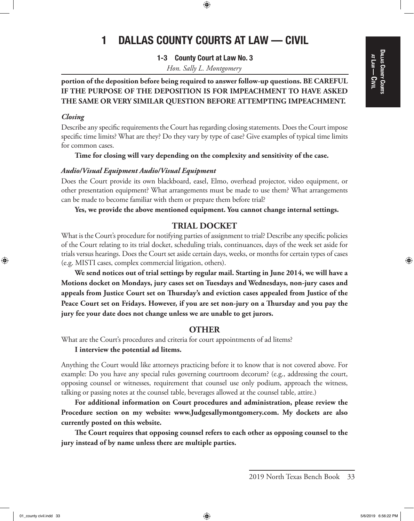## DALLAS COUNTY COURTS Dallas County Courts at Law<br>| <u>ດ</u><br>ອ

⊕

# 1 DALLAS COUNTY COURTS AT LAW — CIVIL

 $\textcolor{black}{\textcircled{\footnotesize{1}}}$ 

1-3 County Court at Law No. 3

*Hon. Sally L. Montgomery*

## **portion of the deposition before being required to answer follow-up questions. BE CAREFUL IF THE PURPOSE OF THE DEPOSITION IS FOR IMPEACHMENT TO HAVE ASKED THE SAME OR VERY SIMILAR QUESTION BEFORE ATTEMPTING IMPEACHMENT.**

## *Closing*

Describe any specific requirements the Court has regarding closing statements. Does the Court impose specific time limits? What are they? Do they vary by type of case? Give examples of typical time limits for common cases.

**Time for closing will vary depending on the complexity and sensitivity of the case.**

## *Audio/Visual Equipment Audio/Visual Equipment*

Does the Court provide its own blackboard, easel, Elmo, overhead projector, video equipment, or other presentation equipment? What arrangements must be made to use them? What arrangements can be made to become familiar with them or prepare them before trial?

**Yes, we provide the above mentioned equipment. You cannot change internal settings.**

## **TRIAL DOCKET**

What is the Court's procedure for notifying parties of assignment to trial? Describe any specific policies of the Court relating to its trial docket, scheduling trials, continuances, days of the week set aside for trials versus hearings. Does the Court set aside certain days, weeks, or months for certain types of cases (e.g. MISTI cases, complex commercial litigation, others).

**We send notices out of trial settings by regular mail. Starting in June 2014, we will have a Motions docket on Mondays, jury cases set on Tuesdays and Wednesdays, non-jury cases and appeals from Justice Court set on Thursday's and eviction cases appealed from Justice of the Peace Court set on Fridays. However, if you are set non-jury on a Thursday and you pay the jury fee your date does not change unless we are unable to get jurors.**

## **OTHER**

What are the Court's procedures and criteria for court appointments of ad litems?

**I interview the potential ad litems.**

Anything the Court would like attorneys practicing before it to know that is not covered above. For example: Do you have any special rules governing courtroom decorum? (e.g., addressing the court, opposing counsel or witnesses, requirement that counsel use only podium, approach the witness, talking or passing notes at the counsel table, beverages allowed at the counsel table, attire.)

**For additional information on Court procedures and administration, please review the Procedure section on my website: www.Judgesallymontgomery.com. My dockets are also currently posted on this website.**

**The Court requires that opposing counsel refers to each other as opposing counsel to the jury instead of by name unless there are multiple parties.**

<sup>2019</sup> North Texas Bench Book 33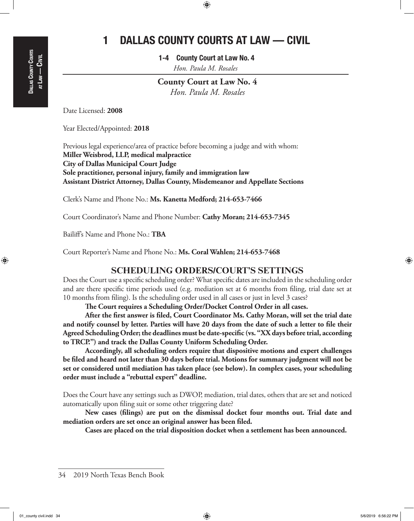$\textcolor{black}{\textcircled{\footnotesize{1}}}$ 

1-4 County Court at Law No. 4 *Hon. Paula M. Rosales*

**County Court at Law No. 4** *Hon. Paula M. Rosales*

Date Licensed: **2008**

Year Elected/Appointed: **2018**

Previous legal experience/area of practice before becoming a judge and with whom: **Miller Weisbrod, LLP, medical malpractice City of Dallas Municipal Court Judge Sole practitioner, personal injury, family and immigration law Assistant District Attorney, Dallas County, Misdemeanor and Appellate Sections**

Clerk's Name and Phone No.: **Ms. Kanetta Medford; 214-653-7466**

Court Coordinator's Name and Phone Number: **Cathy Moran; 214-653-7345**

Bailiff's Name and Phone No.: **TBA**

Court Reporter's Name and Phone No.: **Ms. Coral Wahlen; 214-653-7468**

## **SCHEDULING ORDERS/COURT'S SETTINGS**

Does the Court use a specific scheduling order? What specific dates are included in the scheduling order and are there specific time periods used (e.g. mediation set at 6 months from filing, trial date set at 10 months from filing). Is the scheduling order used in all cases or just in level 3 cases?

**The Court requires a Scheduling Order/Docket Control Order in all cases.**

**After the first answer is filed, Court Coordinator Ms. Cathy Moran, will set the trial date and notify counsel by letter. Parties will have 20 days from the date of such a letter to file their Agreed Scheduling Order; the deadlines must be date-specific (vs. "XX days before trial, according to TRCP.") and track the Dallas County Uniform Scheduling Order.**

**Accordingly, all scheduling orders require that dispositive motions and expert challenges be filed and heard not later than 30 days before trial. Motions for summary judgment will not be set or considered until mediation has taken place (see below). In complex cases, your scheduling order must include a "rebuttal expert" deadline.**

Does the Court have any settings such as DWOP, mediation, trial dates, others that are set and noticed automatically upon filing suit or some other triggering date?

**New cases (filings) are put on the dismissal docket four months out. Trial date and mediation orders are set once an original answer has been filed.**

**Cases are placed on the trial disposition docket when a settlement has been announced.**

⊕

<sup>34</sup> 2019 North Texas Bench Book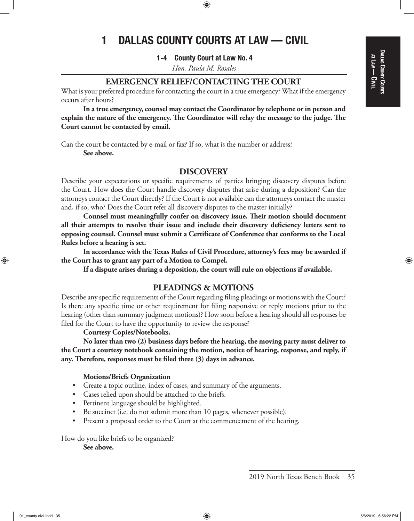## Dallas County Courts at Law<br>| <u>ດ</u><br>ອ

⊕

# 1 DALLAS COUNTY COURTS AT LAW — CIVIL

⊕

1-4 County Court at Law No. 4

*Hon. Paula M. Rosales*

## **EMERGENCY RELIEF/CONTACTING THE COURT**

What is your preferred procedure for contacting the court in a true emergency? What if the emergency occurs after hours?

**In a true emergency, counsel may contact the Coordinator by telephone or in person and explain the nature of the emergency. The Coordinator will relay the message to the judge. The Court cannot be contacted by email.**

Can the court be contacted by e-mail or fax? If so, what is the number or address? **See above.**

## **DISCOVERY**

Describe your expectations or specific requirements of parties bringing discovery disputes before the Court. How does the Court handle discovery disputes that arise during a deposition? Can the attorneys contact the Court directly? If the Court is not available can the attorneys contact the master and, if so, who? Does the Court refer all discovery disputes to the master initially?

**Counsel must meaningfully confer on discovery issue. Their motion should document all their attempts to resolve their issue and include their discovery deficiency letters sent to opposing counsel. Counsel must submit a Certificate of Conference that conforms to the Local Rules before a hearing is set.**

**In accordance with the Texas Rules of Civil Procedure, attorney's fees may be awarded if the Court has to grant any part of a Motion to Compel.**

**If a dispute arises during a deposition, the court will rule on objections if available.**

## **PLEADINGS & MOTIONS**

Describe any specific requirements of the Court regarding filing pleadings or motions with the Court? Is there any specific time or other requirement for filing responsive or reply motions prior to the hearing (other than summary judgment motions)? How soon before a hearing should all responses be filed for the Court to have the opportunity to review the response?

### **Courtesy Copies/Notebooks.**

**No later than two (2) business days before the hearing, the moving party must deliver to the Court a courtesy notebook containing the motion, notice of hearing, response, and reply, if any. Therefore, responses must be filed three (3) days in advance.**

#### **Motions/Briefs Organization**

- Create a topic outline, index of cases, and summary of the arguments.
- • Cases relied upon should be attached to the briefs.
- • Pertinent language should be highlighted.
- Be succinct (i.e. do not submit more than 10 pages, whenever possible).
- Present a proposed order to the Court at the commencement of the hearing.

How do you like briefs to be organized? **See above.**

<sup>2019</sup> North Texas Bench Book 35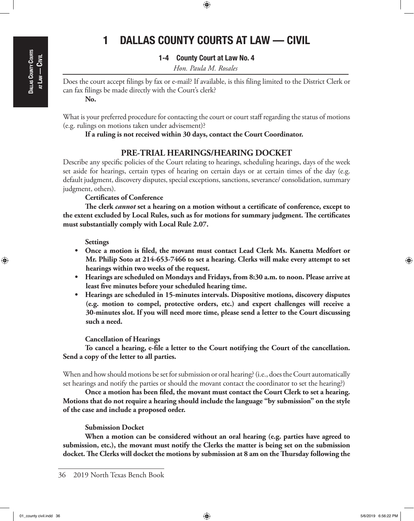⊕

# 1 DALLAS COUNTY COURTS AT LAW — CIVIL

 $\textcolor{black}{\textcircled{\footnotesize{1}}}$ 

## 1-4 County Court at Law No. 4

*Hon. Paula M. Rosales*

Does the court accept filings by fax or e-mail? If available, is this filing limited to the District Clerk or can fax filings be made directly with the Court's clerk? **No.**

What is your preferred procedure for contacting the court or court staff regarding the status of motions (e.g. rulings on motions taken under advisement)?

### **If a ruling is not received within 30 days, contact the Court Coordinator.**

## **PRE-TRIAL HEARINGS/HEARING DOCKET**

Describe any specific policies of the Court relating to hearings, scheduling hearings, days of the week set aside for hearings, certain types of hearing on certain days or at certain times of the day (e.g. default judgment, discovery disputes, special exceptions, sanctions, severance/ consolidation, summary judgment, others).

**Certificates of Conference**

**The clerk** *cannot* **set a hearing on a motion without a certificate of conference, except to the extent excluded by Local Rules, such as for motions for summary judgment. The certificates must substantially comply with Local Rule 2.07.**

**Settings**

- Once a motion is filed, the movant must contact Lead Clerk Ms. Kanetta Medfort or **Mr. Philip Soto at 214-653-7466 to set a hearing. Clerks will make every attempt to set hearings within two weeks of the request.**
- Hearings are scheduled on Mondays and Fridays, from 8:30 a.m. to noon. Please arrive at **least five minutes before your scheduled hearing time.**
- **• Hearings are scheduled in 15-minutes intervals. Dispositive motions, discovery disputes (e.g. motion to compel, protective orders, etc.) and expert challenges will receive a 30-minutes slot. If you will need more time, please send a letter to the Court discussing such a need.**

**Cancellation of Hearings**

**To cancel a hearing, e-file a letter to the Court notifying the Court of the cancellation. Send a copy of the letter to all parties.**

When and how should motions be set for submission or oral hearing? (i.e., does the Court automatically set hearings and notify the parties or should the movant contact the coordinator to set the hearing?)

**Once a motion has been filed, the movant must contact the Court Clerk to set a hearing. Motions that do not require a hearing should include the language "by submission" on the style of the case and include a proposed order.**

#### **Submission Docket**

**When a motion can be considered without an oral hearing (e.g. parties have agreed to submission, etc.), the movant must notify the Clerks the matter is being set on the submission docket. The Clerks will docket the motions by submission at 8 am on the Thursday following the** 

<sup>36</sup> 2019 North Texas Bench Book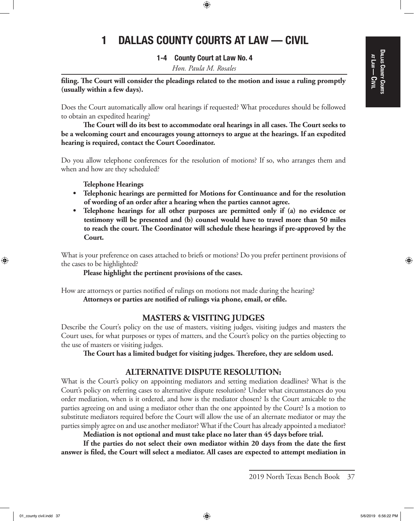## Dallas County Courts at Law<br>| <u>ດ</u><br>ອ

⊕

# 1 DALLAS COUNTY COURTS AT LAW — CIVIL

 $\textcolor{black}{\textcircled{\footnotesize{1}}}$ 

## 1-4 County Court at Law No. 4

*Hon. Paula M. Rosales*

**filing. The Court will consider the pleadings related to the motion and issue a ruling promptly (usually within a few days).**

Does the Court automatically allow oral hearings if requested? What procedures should be followed to obtain an expedited hearing?

**The Court will do its best to accommodate oral hearings in all cases. The Court seeks to be a welcoming court and encourages young attorneys to argue at the hearings. If an expedited hearing is required, contact the Court Coordinator.**

Do you allow telephone conferences for the resolution of motions? If so, who arranges them and when and how are they scheduled?

**Telephone Hearings**

- **• Telephonic hearings are permitted for Motions for Continuance and for the resolution of wording of an order after a hearing when the parties cannot agree.**
- **• Telephone hearings for all other purposes are permitted only if (a) no evidence or testimony will be presented and (b) counsel would have to travel more than 50 miles to reach the court. The Coordinator will schedule these hearings if pre-approved by the Court.**

What is your preference on cases attached to briefs or motions? Do you prefer pertinent provisions of the cases to be highlighted?

**Please highlight the pertinent provisions of the cases.**

How are attorneys or parties notified of rulings on motions not made during the hearing? **Attorneys or parties are notified of rulings via phone, email, or efile.**

## **MASTERS & VISITING JUDGES**

Describe the Court's policy on the use of masters, visiting judges, visiting judges and masters the Court uses, for what purposes or types of matters, and the Court's policy on the parties objecting to the use of masters or visiting judges.

**The Court has a limited budget for visiting judges. Therefore, they are seldom used.**

## **ALTERNATIVE DISPUTE RESOLUTION:**

What is the Court's policy on appointing mediators and setting mediation deadlines? What is the Court's policy on referring cases to alternative dispute resolution? Under what circumstances do you order mediation, when is it ordered, and how is the mediator chosen? Is the Court amicable to the parties agreeing on and using a mediator other than the one appointed by the Court? Is a motion to substitute mediators required before the Court will allow the use of an alternate mediator or may the parties simply agree on and use another mediator? What if the Court has already appointed a mediator?

**Mediation is not optional and must take place no later than 45 days before trial.**

**If the parties do not select their own mediator within 20 days from the date the first answer is filed, the Court will select a mediator. All cases are expected to attempt mediation in** 

<sup>2019</sup> North Texas Bench Book 37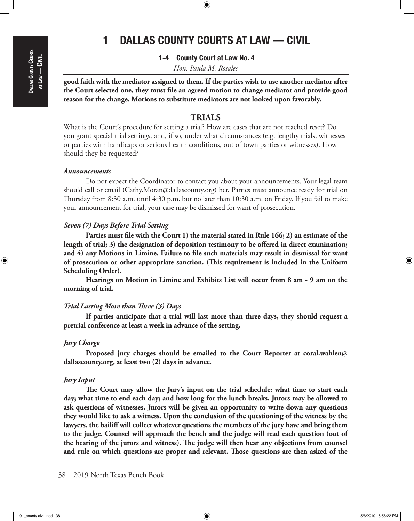⊕

# 1 DALLAS COUNTY COURTS AT LAW — CIVIL

 $\textcolor{black}{\textcircled{\footnotesize{1}}}$ 

1-4 County Court at Law No. 4

*Hon. Paula M. Rosales*

**good faith with the mediator assigned to them. If the parties wish to use another mediator after the Court selected one, they must file an agreed motion to change mediator and provide good reason for the change. Motions to substitute mediators are not looked upon favorably.**

## **TRIALS**

What is the Court's procedure for setting a trial? How are cases that are not reached reset? Do you grant special trial settings, and, if so, under what circumstances (e.g. lengthy trials, witnesses or parties with handicaps or serious health conditions, out of town parties or witnesses). How should they be requested?

#### *Announcements*

Do not expect the Coordinator to contact you about your announcements. Your legal team should call or email (Cathy.Moran@dallascounty.org) her. Parties must announce ready for trial on Thursday from 8:30 a.m. until 4:30 p.m. but no later than 10:30 a.m. on Friday. If you fail to make your announcement for trial, your case may be dismissed for want of prosecution.

### *Seven (7) Days Before Trial Setting*

**Parties must file with the Court 1) the material stated in Rule 166; 2) an estimate of the length of trial; 3) the designation of deposition testimony to be offered in direct examination; and 4) any Motions in Limine. Failure to file such materials may result in dismissal for want of prosecution or other appropriate sanction. (This requirement is included in the Uniform Scheduling Order).**

**Hearings on Motion in Limine and Exhibits List will occur from 8 am - 9 am on the morning of trial.**

#### *Trial Lasting More than Three (3) Days*

**If parties anticipate that a trial will last more than three days, they should request a pretrial conference at least a week in advance of the setting.**

#### *Jury Charge*

**Proposed jury charges should be emailed to the Court Reporter at coral.wahlen@ dallascounty.org, at least two (2) days in advance.**

#### *Jury Input*

**The Court may allow the Jury's input on the trial schedule: what time to start each day; what time to end each day; and how long for the lunch breaks. Jurors may be allowed to ask questions of witnesses. Jurors will be given an opportunity to write down any questions they would like to ask a witness. Upon the conclusion of the questioning of the witness by the lawyers, the bailiff will collect whatever questions the members of the jury have and bring them to the judge. Counsel will approach the bench and the judge will read each question (out of the hearing of the jurors and witness). The judge will then hear any objections from counsel and rule on which questions are proper and relevant. Those questions are then asked of the** 

<sup>38</sup> 2019 North Texas Bench Book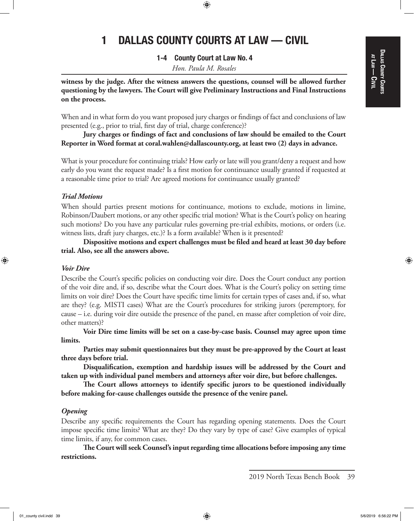## DALLAS COUNTY COURTS Dallas County Courts at Law<br>| <u>ດ</u><br>ອ

⊕

# 1 DALLAS COUNTY COURTS AT LAW — CIVIL

 $\textcolor{black}{\textcircled{\footnotesize{1}}}$ 

1-4 County Court at Law No. 4

*Hon. Paula M. Rosales*

**witness by the judge. After the witness answers the questions, counsel will be allowed further questioning by the lawyers. The Court will give Preliminary Instructions and Final Instructions on the process.**

When and in what form do you want proposed jury charges or findings of fact and conclusions of law presented (e.g., prior to trial, first day of trial, charge conference)?

**Jury charges or findings of fact and conclusions of law should be emailed to the Court Reporter in Word format at coral.wahlen@dallascounty.org, at least two (2) days in advance.**

What is your procedure for continuing trials? How early or late will you grant/deny a request and how early do you want the request made? Is a first motion for continuance usually granted if requested at a reasonable time prior to trial? Are agreed motions for continuance usually granted?

#### *Trial Motions*

When should parties present motions for continuance, motions to exclude, motions in limine, Robinson/Daubert motions, or any other specific trial motion? What is the Court's policy on hearing such motions? Do you have any particular rules governing pre-trial exhibits, motions, or orders (i.e. witness lists, draft jury charges, etc.)? Is a form available? When is it presented?

**Dispositive motions and expert challenges must be filed and heard at least 30 day before trial. Also, see all the answers above.**

#### *Voir Dire*

⊕

Describe the Court's specific policies on conducting voir dire. Does the Court conduct any portion of the voir dire and, if so, describe what the Court does. What is the Court's policy on setting time limits on voir dire? Does the Court have specific time limits for certain types of cases and, if so, what are they? (e.g. MISTI cases) What are the Court's procedures for striking jurors (peremptory, for cause – i.e. during voir dire outside the presence of the panel, en masse after completion of voir dire, other matters)?

**Voir Dire time limits will be set on a case-by-case basis. Counsel may agree upon time limits.**

**Parties may submit questionnaires but they must be pre-approved by the Court at least three days before trial.**

**Disqualification, exemption and hardship issues will be addressed by the Court and taken up with individual panel members and attorneys after voir dire, but before challenges.**

**The Court allows attorneys to identify specific jurors to be questioned individually before making for-cause challenges outside the presence of the venire panel.**

#### *Opening*

Describe any specific requirements the Court has regarding opening statements. Does the Court impose specific time limits? What are they? Do they vary by type of case? Give examples of typical time limits, if any, for common cases.

**The Court will seek Counsel's input regarding time allocations before imposing any time restrictions.**

<sup>2019</sup> North Texas Bench Book 39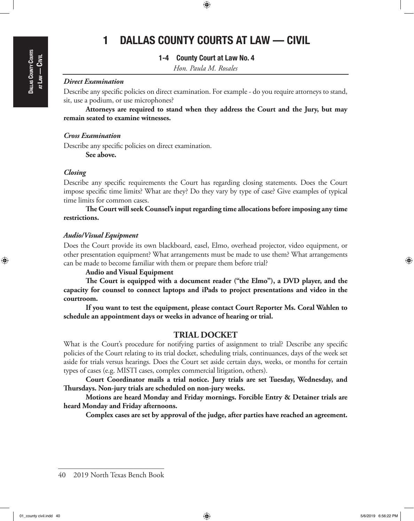# Dallas County Courts  $A$ TLAW — Civil

⊕

# 1 DALLAS COUNTY COURTS AT LAW — CIVIL

 $\textcolor{black}{\textcircled{\footnotesize{1}}}$ 

## 1-4 County Court at Law No. 4

*Hon. Paula M. Rosales*

## *Direct Examination*

Describe any specific policies on direct examination. For example - do you require attorneys to stand, sit, use a podium, or use microphones?

**Attorneys are required to stand when they address the Court and the Jury, but may remain seated to examine witnesses.**

#### *Cross Examination*

Describe any specific policies on direct examination. **See above.**

#### *Closing*

Describe any specific requirements the Court has regarding closing statements. Does the Court impose specific time limits? What are they? Do they vary by type of case? Give examples of typical time limits for common cases.

**The Court will seek Counsel's input regarding time allocations before imposing any time restrictions.**

#### *Audio/Visual Equipment*

Does the Court provide its own blackboard, easel, Elmo, overhead projector, video equipment, or other presentation equipment? What arrangements must be made to use them? What arrangements can be made to become familiar with them or prepare them before trial?

#### **Audio and Visual Equipment**

**The Court is equipped with a document reader ("the Elmo"), a DVD player, and the capacity for counsel to connect laptops and iPads to project presentations and video in the courtroom.**

**If you want to test the equipment, please contact Court Reporter Ms. Coral Wahlen to schedule an appointment days or weeks in advance of hearing or trial.**

## **TRIAL DOCKET**

What is the Court's procedure for notifying parties of assignment to trial? Describe any specific policies of the Court relating to its trial docket, scheduling trials, continuances, days of the week set aside for trials versus hearings. Does the Court set aside certain days, weeks, or months for certain types of cases (e.g. MISTI cases, complex commercial litigation, others).

**Court Coordinator mails a trial notice. Jury trials are set Tuesday, Wednesday, and Thursdays. Non-jury trials are scheduled on non-jury weeks.**

**Motions are heard Monday and Friday mornings. Forcible Entry & Detainer trials are heard Monday and Friday afternoons.**

**Complex cases are set by approval of the judge, after parties have reached an agreement.**

40 2019 North Texas Bench Book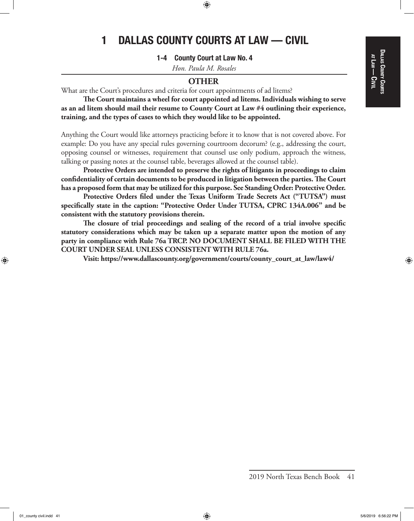## Dallas County Courts DALLAS COUNTY COURTS at Law<br>| <u>ດ</u><br>ອ

⊕

# 1 DALLAS COUNTY COURTS AT LAW — CIVIL

 $\textcolor{black}{\textcircled{\footnotesize{1}}}$ 

1-4 County Court at Law No. 4

*Hon. Paula M. Rosales*

## **OTHER**

What are the Court's procedures and criteria for court appointments of ad litems?

**The Court maintains a wheel for court appointed ad litems. Individuals wishing to serve as an ad litem should mail their resume to County Court at Law #4 outlining their experience, training, and the types of cases to which they would like to be appointed.**

Anything the Court would like attorneys practicing before it to know that is not covered above. For example: Do you have any special rules governing courtroom decorum? (e.g., addressing the court, opposing counsel or witnesses, requirement that counsel use only podium, approach the witness, talking or passing notes at the counsel table, beverages allowed at the counsel table).

**Protective Orders are intended to preserve the rights of litigants in proceedings to claim confidentiality of certain documents to be produced in litigation between the parties. The Court has a proposed form that may be utilized for this purpose. See Standing Order: Protective Order.**

**Protective Orders filed under the Texas Uniform Trade Secrets Act ("TUTSA") must specifically state in the caption: "Protective Order Under TUTSA, CPRC 134A.006" and be consistent with the statutory provisions therein.**

**The closure of trial proceedings and sealing of the record of a trial involve specific statutory considerations which may be taken up a separate matter upon the motion of any party in compliance with Rule 76a TRCP. NO DOCUMENT SHALL BE FILED WITH THE COURT UNDER SEAL UNLESS CONSISTENT WITH RULE 76a.**

**Visit: https://www.dallascounty.org/government/courts/county\_court\_at\_law/law4/**

2019 North Texas Bench Book 41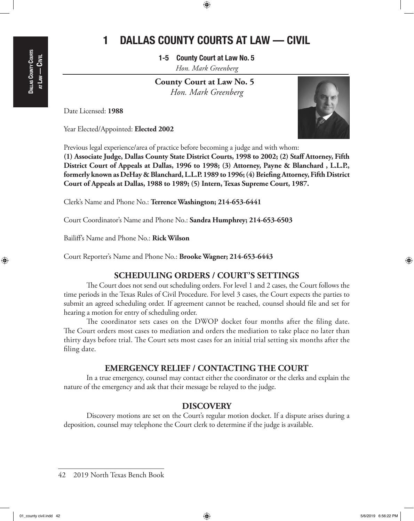1-5 County Court at Law No. 5 *Hon. Mark Greenberg*

 **County Court at Law No. 5** *Hon. Mark Greenberg*

Date Licensed: **1988**

Dallas County Courts  $A$ TLAW —

⊕

Civil

Year Elected/Appointed: **Elected 2002** 

Previous legal experience/area of practice before becoming a judge and with whom:

**(1) Associate Judge, Dallas County State District Courts, 1998 to 2002; (2) Staff Attorney, Fifth District Court of Appeals at Dallas, 1996 to 1998; (3) Attorney, Payne & Blanchard , L.L.P., formerly known as DeHay & Blanchard, L.L.P. 1989 to 1996; (4) Briefing Attorney, Fifth District Court of Appeals at Dallas, 1988 to 1989; (5) Intern, Texas Supreme Court, 1987.**

Clerk's Name and Phone No.: **Terrence Washington; 214-653-6441**

Court Coordinator's Name and Phone No.: **Sandra Humphrey; 214-653-6503**

Bailiff's Name and Phone No.: **Rick Wilson**

Court Reporter's Name and Phone No.: **Brooke Wagner; 214-653-6443**

## **SCHEDULING ORDERS / COURT'S SETTINGS**

The Court does not send out scheduling orders. For level 1 and 2 cases, the Court follows the time periods in the Texas Rules of Civil Procedure. For level 3 cases, the Court expects the parties to submit an agreed scheduling order. If agreement cannot be reached, counsel should file and set for hearing a motion for entry of scheduling order.

The coordinator sets cases on the DWOP docket four months after the filing date. The Court orders most cases to mediation and orders the mediation to take place no later than thirty days before trial. The Court sets most cases for an initial trial setting six months after the filing date.

## **EMERGENCY RELIEF / CONTACTING THE COURT**

In a true emergency, counsel may contact either the coordinator or the clerks and explain the nature of the emergency and ask that their message be relayed to the judge.

## **DISCOVERY**

Discovery motions are set on the Court's regular motion docket. If a dispute arises during a deposition, counsel may telephone the Court clerk to determine if the judge is available.

42 2019 North Texas Bench Book

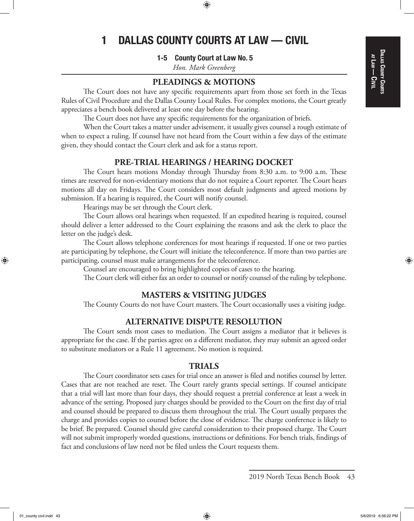## DALLAS COUNTY COURTS Dallas County Courts at Law<br>| <u>ດ</u><br>ອ

# 1 DALLAS COUNTY COURTS AT LAW — CIVIL

⊕

1-5 County Court at Law No. 5

*Hon. Mark Greenberg*

## **PLEADINGS & MOTIONS**

The Court does not have any specific requirements apart from those set forth in the Texas Rules of Civil Procedure and the Dallas County Local Rules. For complex motions, the Court greatly appreciates a bench book delivered at least one day before the hearing.

The Court does not have any specific requirements for the organization of briefs.

When the Court takes a matter under advisement, it usually gives counsel a rough estimate of when to expect a ruling. If counsel have not heard from the Court within a few days of the estimate given, they should contact the Court clerk and ask for a status report.

## **PRE-TRIAL HEARINGS / HEARING DOCKET**

The Court hears motions Monday through Thursday from 8:30 a.m. to 9:00 a.m. These times are reserved for non-evidentiary motions that do not require a Court reporter. The Court hears motions all day on Fridays. The Court considers most default judgments and agreed motions by submission. If a hearing is required, the Court will notify counsel.

Hearings may be set through the Court clerk.

The Court allows oral hearings when requested. If an expedited hearing is required, counsel should deliver a letter addressed to the Court explaining the reasons and ask the clerk to place the letter on the judge's desk.

The Court allows telephone conferences for most hearings if requested. If one or two parties are participating by telephone, the Court will initiate the teleconference. If more than two parties are participating, counsel must make arrangements for the teleconference.

Counsel are encouraged to bring highlighted copies of cases to the hearing.

The Court clerk will either fax an order to counsel or notify counsel of the ruling by telephone.

## **MASTERS & VISITING JUDGES**

The County Courts do not have Court masters. The Court occasionally uses a visiting judge.

## **ALTERNATIVE DISPUTE RESOLUTION**

The Court sends most cases to mediation. The Court assigns a mediator that it believes is appropriate for the case. If the parties agree on a different mediator, they may submit an agreed order to substitute mediators or a Rule 11 agreement. No motion is required.

## **TRIALS**

The Court coordinator sets cases for trial once an answer is filed and notifies counsel by letter. Cases that are not reached are reset. The Court rarely grants special settings. If counsel anticipate that a trial will last more than four days, they should request a pretrial conference at least a week in advance of the setting. Proposed jury charges should be provided to the Court on the first day of trial and counsel should be prepared to discuss them throughout the trial. The Court usually prepares the charge and provides copies to counsel before the close of evidence. The charge conference is likely to be brief. Be prepared. Counsel should give careful consideration to their proposed charge. The Court will not submit improperly worded questions, instructions or definitions. For bench trials, findings of fact and conclusions of law need not be filed unless the Court requests them.

⊕

01\_county civil.indd  $43$  5/6/2019 6:56:22 PM  $\langle\bigoplus\rangle$ 

<sup>2019</sup> North Texas Bench Book 43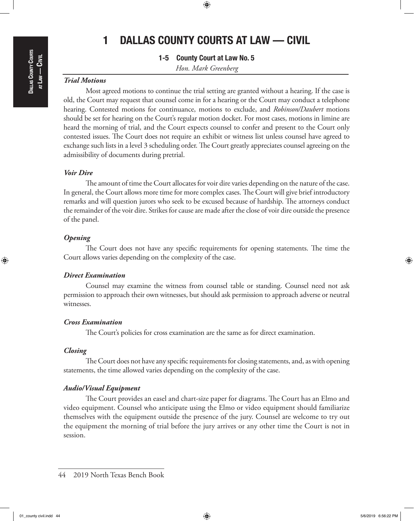## $\textcolor{black}{\textcircled{\footnotesize{1}}}$

## 1 DALLAS COUNTY COURTS AT LAW — CIVIL

1-5 County Court at Law No. 5 *Hon. Mark Greenberg*

## *Trial Motions*

Most agreed motions to continue the trial setting are granted without a hearing. If the case is old, the Court may request that counsel come in for a hearing or the Court may conduct a telephone hearing. Contested motions for continuance, motions to exclude, and *Robinson/Daubert* motions should be set for hearing on the Court's regular motion docket. For most cases, motions in limine are heard the morning of trial, and the Court expects counsel to confer and present to the Court only contested issues. The Court does not require an exhibit or witness list unless counsel have agreed to exchange such lists in a level 3 scheduling order. The Court greatly appreciates counsel agreeing on the admissibility of documents during pretrial.

## *Voir Dire*

The amount of time the Court allocates for voir dire varies depending on the nature of the case. In general, the Court allows more time for more complex cases. The Court will give brief introductory remarks and will question jurors who seek to be excused because of hardship. The attorneys conduct the remainder of the voir dire. Strikes for cause are made after the close of voir dire outside the presence of the panel.

#### *Opening*

The Court does not have any specific requirements for opening statements. The time the Court allows varies depending on the complexity of the case.

## *Direct Examination*

Counsel may examine the witness from counsel table or standing. Counsel need not ask permission to approach their own witnesses, but should ask permission to approach adverse or neutral witnesses.

## *Cross Examination*

The Court's policies for cross examination are the same as for direct examination.

#### *Closing*

The Court does not have any specific requirements for closing statements, and, as with opening statements, the time allowed varies depending on the complexity of the case.

#### *Audio/Visual Equipment*

The Court provides an easel and chart-size paper for diagrams. The Court has an Elmo and video equipment. Counsel who anticipate using the Elmo or video equipment should familiarize themselves with the equipment outside the presence of the jury. Counsel are welcome to try out the equipment the morning of trial before the jury arrives or any other time the Court is not in session.

⊕

<sup>44</sup> 2019 North Texas Bench Book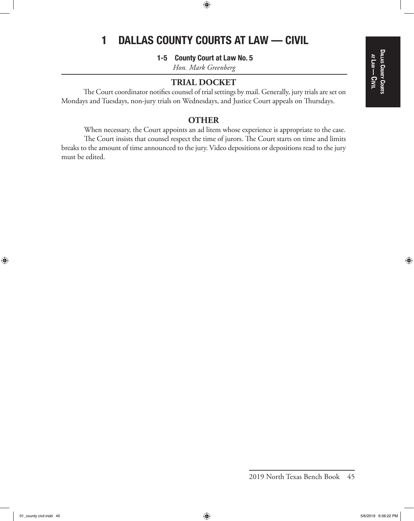## $\bigcirc\hspace{-1.4mm}\bigcirc$

# 1 DALLAS COUNTY COURTS AT LAW — CIVIL

1-5 County Court at Law No. 5

*Hon. Mark Greenberg*

## **TRIAL DOCKET**

The Court coordinator notifies counsel of trial settings by mail. Generally, jury trials are set on Mondays and Tuesdays, non-jury trials on Wednesdays, and Justice Court appeals on Thursdays.

## **OTHER**

When necessary, the Court appoints an ad litem whose experience is appropriate to the case. The Court insists that counsel respect the time of jurors. The Court starts on time and limits breaks to the amount of time announced to the jury. Video depositions or depositions read to the jury must be edited.

⊕

 $\bigoplus$ 

<sup>2019</sup> North Texas Bench Book 45